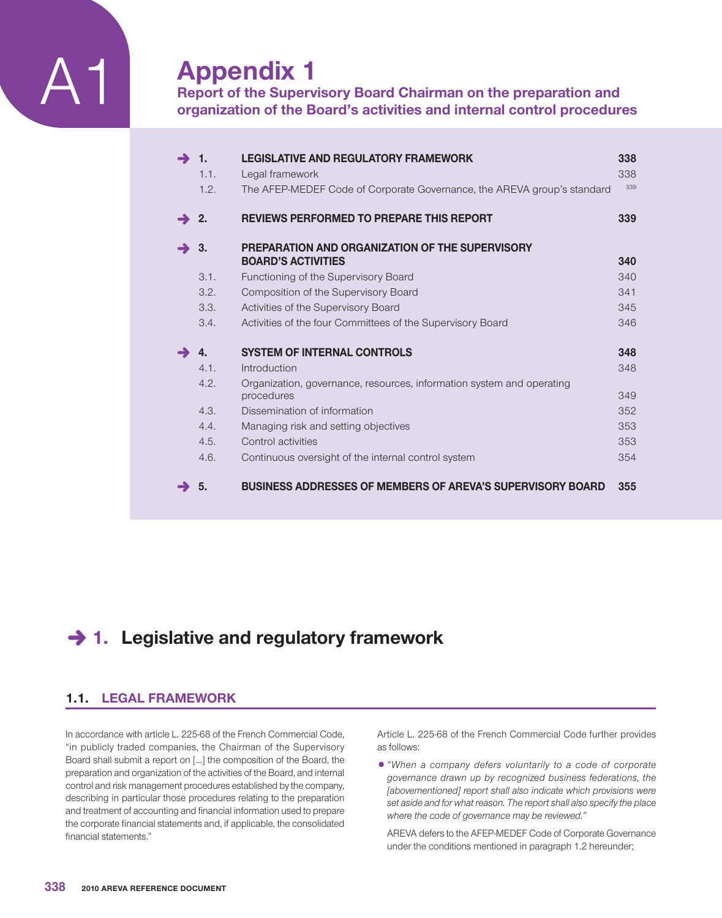

# **Appendix 1**

**Report of the Supervisory Board Chairman on the preparation and organization of the Board's activities and internal control procedures**

| $\rightarrow$    | - 1.<br>1.1. | <b>LEGISLATIVE AND REGULATORY FRAMEWORK</b><br>Legal framework                      | 338<br>338 |
|------------------|--------------|-------------------------------------------------------------------------------------|------------|
|                  | 1.2.         | The AFEP-MEDEF Code of Corporate Governance, the AREVA group's standard             | 339        |
| $\rightarrow$ 2. |              | <b>REVIEWS PERFORMED TO PREPARE THIS REPORT</b>                                     | 339        |
| $\rightarrow$ 3. |              | PREPARATION AND ORGANIZATION OF THE SUPERVISORY<br><b>BOARD'S ACTIVITIES</b>        | 340        |
|                  | 3.1.         | Functioning of the Supervisory Board                                                | 340        |
|                  | 3.2.         | Composition of the Supervisory Board                                                | 341        |
|                  | 3.3.         | Activities of the Supervisory Board                                                 | 345        |
|                  | 3.4.         | Activities of the four Committees of the Supervisory Board                          | 346        |
|                  | 4.           | <b>SYSTEM OF INTERNAL CONTROLS</b>                                                  | 348        |
|                  | 4.1.         | Introduction                                                                        | 348        |
|                  | 4.2.         | Organization, governance, resources, information system and operating<br>procedures | 349        |
|                  | 4.3.         | Dissemination of information                                                        | 352        |
|                  | 4.4.         | Managing risk and setting objectives                                                | 353        |
|                  | 4.5.         | Control activities                                                                  | 353        |
|                  | 4.6.         | Continuous oversight of the internal control system                                 | 354        |
|                  | 5.           | <b>BUSINESS ADDRESSES OF MEMBERS OF AREVA'S SUPERVISORY BOARD</b>                   | 355        |

# **→ 1. Legislative and regulatory framework**

# **1.1. LEGAL FRAMEWORK**

In accordance with article L. 225-68 of the French Commercial Code, "in publicly traded companies, the Chairman of the Supervisory Board shall submit a report on […] the composition of the Board, the preparation and organization of the activities of the Board, and internal control and risk management procedures established by the company, describing in particular those procedures relating to the preparation and treatment of accounting and financial information used to prepare the corporate financial statements and, if applicable, the consolidated financial statements."

Article L. 225-68 of the French Commercial Code further provides as follows:

1*"When a company defers voluntarily to a code of corporate governance drawn up by recognized business federations, the [abovementioned] report shall also indicate which provisions were set aside and for what reason. The report shall also specify the place where the code of governance may be reviewed."*

AREVA defers to the AFEP-MEDEF Code of Corporate Governance under the conditions mentioned in paragraph 1.2 hereunder;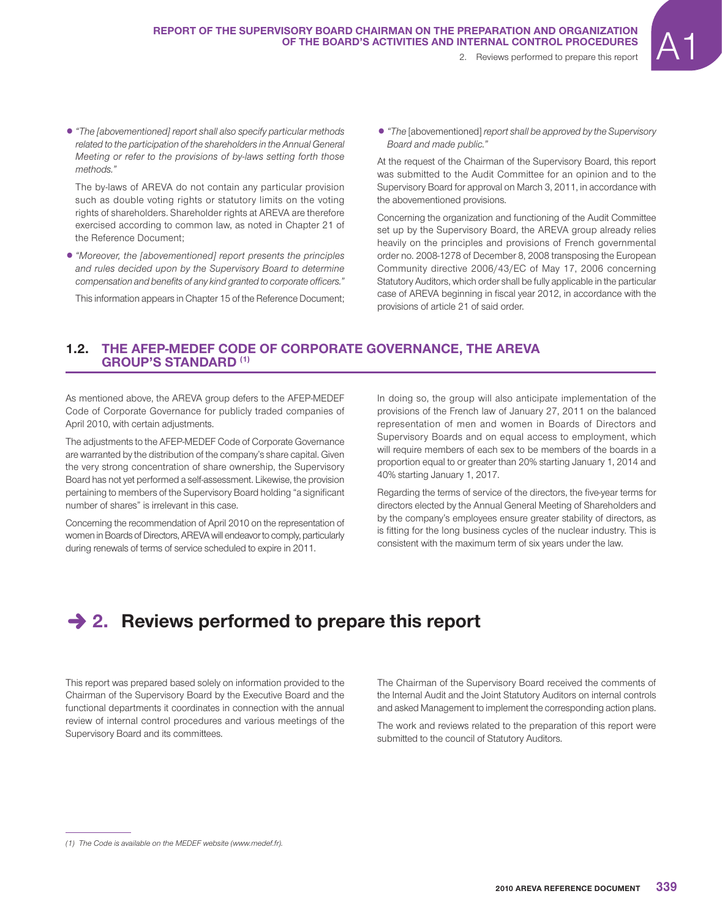1*"The [abovementioned] report shall also specify particular methods related to the participation of the shareholders in the Annual General Meeting or refer to the provisions of by-laws setting forth those methods."*

The by-laws of AREVA do not contain any particular provision such as double voting rights or statutory limits on the voting rights of shareholders. Shareholder rights at AREVA are therefore exercised according to common law, as noted in Chapter 21 of the Reference Document;

1*"Moreover, the [abovementioned] report presents the principles and rules decided upon by the Supervisory Board to determine compensation and benefits of any kind granted to corporate officers."*

This information appears in Chapter 15 of the Reference Document;

1*"The* [abovementioned] *report shall be approved by the Supervisory Board and made public."*

At the request of the Chairman of the Supervisory Board, this report was submitted to the Audit Committee for an opinion and to the Supervisory Board for approval on March 3, 2011, in accordance with the abovementioned provisions.

Concerning the organization and functioning of the Audit Committee set up by the Supervisory Board, the AREVA group already relies heavily on the principles and provisions of French governmental order no. 2008-1278 of December 8, 2008 transposing the European Community directive 2006/43/EC of May 17, 2006 concerning Statutory Auditors, which order shall be fully applicable in the particular case of AREVA beginning in fiscal year 2012, in accordance with the provisions of article 21 of said order.

# **1.2. THE AFEP-MEDEF CODE OF CORPORATE GOVERNANCE, THE AREVA GROUP'S STANDARD (1)**

As mentioned above, the AREVA group defers to the AFEP-MEDEF Code of Corporate Governance for publicly traded companies of April 2010, with certain adjustments.

The adjustments to the AFEP-MEDEF Code of Corporate Governance are warranted by the distribution of the company's share capital. Given the very strong concentration of share ownership, the Supervisory Board has not yet performed a self-assessment. Likewise, the provision pertaining to members of the Supervisory Board holding "a significant number of shares" is irrelevant in this case.

Concerning the recommendation of April 2010 on the representation of women in Boards of Directors, AREVA will endeavor to comply, particularly during renewals of terms of service scheduled to expire in 2011.

In doing so, the group will also anticipate implementation of the provisions of the French law of January 27, 2011 on the balanced representation of men and women in Boards of Directors and Supervisory Boards and on equal access to employment, which will require members of each sex to be members of the boards in a proportion equal to or greater than 20% starting January 1, 2014 and 40% starting January 1, 2017.

Regarding the terms of service of the directors, the five-year terms for directors elected by the Annual General Meeting of Shareholders and by the company's employees ensure greater stability of directors, as is fitting for the long business cycles of the nuclear industry. This is consistent with the maximum term of six years under the law.

# **→ 2. Reviews performed to prepare this report**

This report was prepared based solely on information provided to the Chairman of the Supervisory Board by the Executive Board and the functional departments it coordinates in connection with the annual review of internal control procedures and various meetings of the Supervisory Board and its committees.

The Chairman of the Supervisory Board received the comments of the Internal Audit and the Joint Statutory Auditors on internal controls and asked Management to implement the corresponding action plans.

The work and reviews related to the preparation of this report were submitted to the council of Statutory Auditors.

*<sup>(1)</sup> The Code is available on the MEDEF website (www.medef.fr).*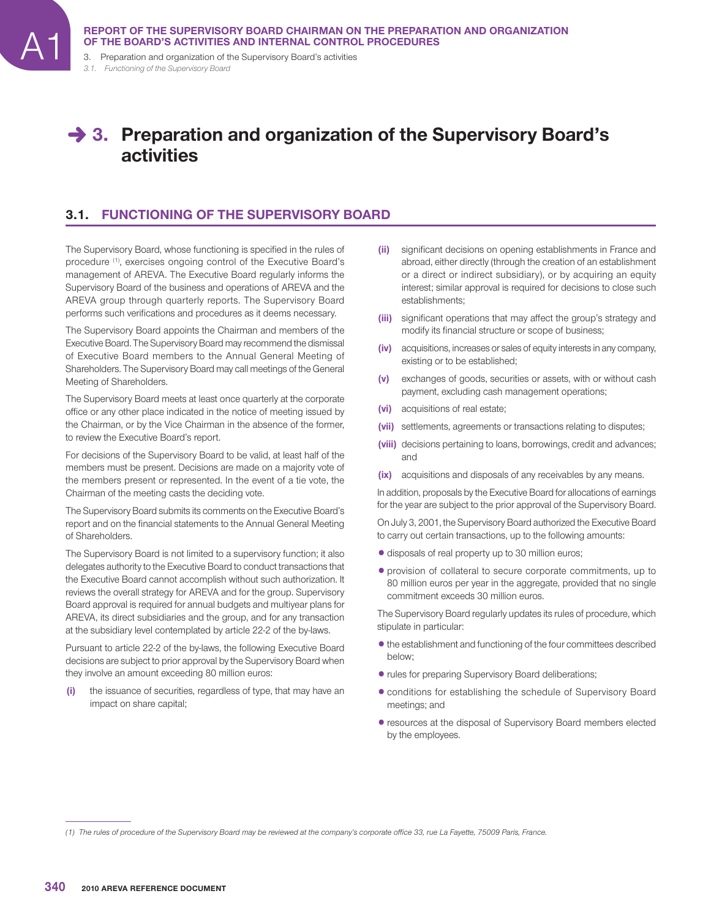3. Preparation and organization of the Supervisory Board's activities *3.1. Functioning of the Supervisory Board*

# **→ 3. Preparation and organization of the Supervisory Board's activities**

# **3.1. FUNCTIONING OF THE SUPERVISORY BOARD**

The Supervisory Board, whose functioning is specified in the rules of procedure (1), exercises ongoing control of the Executive Board's management of AREVA. The Executive Board regularly informs the Supervisory Board of the business and operations of AREVA and the AREVA group through quarterly reports. The Supervisory Board performs such verifications and procedures as it deems necessary.

The Supervisory Board appoints the Chairman and members of the Executive Board. The Supervisory Board may recommend the dismissal of Executive Board members to the Annual General Meeting of Shareholders. The Supervisory Board may call meetings of the General Meeting of Shareholders.

The Supervisory Board meets at least once quarterly at the corporate office or any other place indicated in the notice of meeting issued by the Chairman, or by the Vice Chairman in the absence of the former, to review the Executive Board's report.

For decisions of the Supervisory Board to be valid, at least half of the members must be present. Decisions are made on a majority vote of the members present or represented. In the event of a tie vote, the Chairman of the meeting casts the deciding vote.

The Supervisory Board submits its comments on the Executive Board's report and on the financial statements to the Annual General Meeting of Shareholders.

The Supervisory Board is not limited to a supervisory function; it also delegates authority to the Executive Board to conduct transactions that the Executive Board cannot accomplish without such authorization. It reviews the overall strategy for AREVA and for the group. Supervisory Board approval is required for annual budgets and multiyear plans for AREVA, its direct subsidiaries and the group, and for any transaction at the subsidiary level contemplated by article 22-2 of the by-laws.

Pursuant to article 22-2 of the by-laws, the following Executive Board decisions are subject to prior approval by the Supervisory Board when they involve an amount exceeding 80 million euros:

**(i)** the issuance of securities, regardless of type, that may have an impact on share capital;

- **(ii)** significant decisions on opening establishments in France and abroad, either directly (through the creation of an establishment or a direct or indirect subsidiary), or by acquiring an equity interest; similar approval is required for decisions to close such establishments;
- (iii) significant operations that may affect the group's strategy and modify its financial structure or scope of business;
- **(iv)** acquisitions, increases or sales of equity interests in any company, existing or to be established;
- **(v)** exchanges of goods, securities or assets, with or without cash payment, excluding cash management operations;
- **(vi)** acquisitions of real estate;
- **(vii)** settlements, agreements or transactions relating to disputes;
- **(viii)** decisions pertaining to loans, borrowings, credit and advances; and
- **(ix)** acquisitions and disposals of any receivables by any means.

In addition, proposals by the Executive Board for allocations of earnings for the year are subject to the prior approval of the Supervisory Board.

On July 3, 2001, the Supervisory Board authorized the Executive Board to carry out certain transactions, up to the following amounts:

- $\bullet$  disposals of real property up to 30 million euros;
- 1provision of collateral to secure corporate commitments, up to 80 million euros per year in the aggregate, provided that no single commitment exceeds 30 million euros.

The Supervisory Board regularly updates its rules of procedure, which stipulate in particular:

- $\bullet$  the establishment and functioning of the four committees described below;
- rules for preparing Supervisory Board deliberations;
- conditions for establishing the schedule of Supervisory Board meetings; and
- 1resources at the disposal of Supervisory Board members elected by the employees.

<sup>(1)</sup> The rules of procedure of the Supervisory Board may be reviewed at the company's corporate office 33, rue La Fayette, 75009 Paris, France.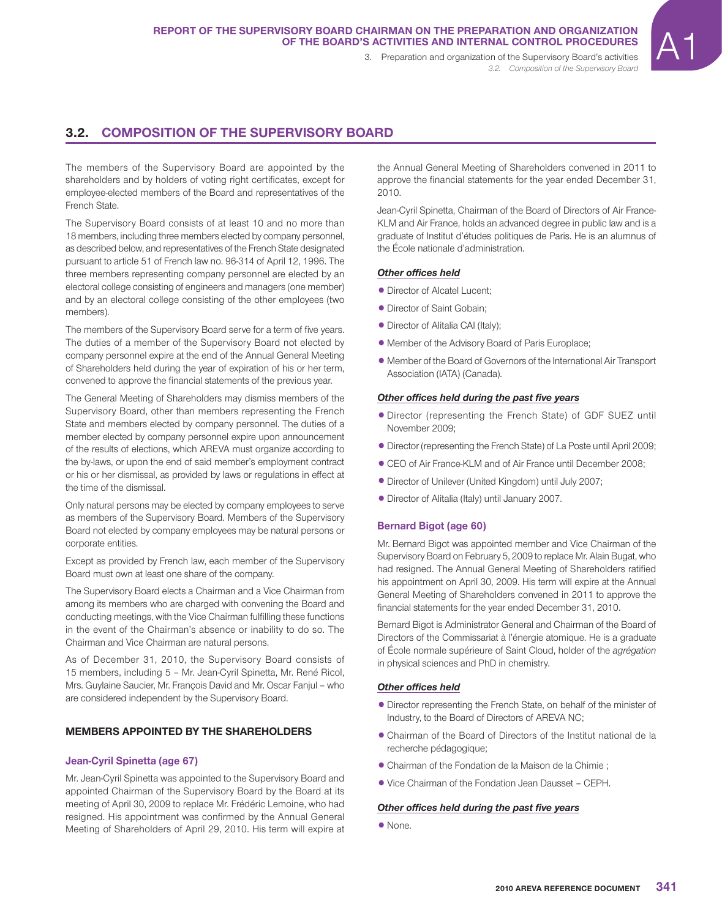*3.2. Composition of the Supervisory Board*

# **3.2. COMPOSITION OF THE SUPERVISORY BOARD**

The members of the Supervisory Board are appointed by the shareholders and by holders of voting right certificates, except for employee-elected members of the Board and representatives of the French State.

The Supervisory Board consists of at least 10 and no more than 18 members, including three members elected by company personnel, as described below, and representatives of the French State designated pursuant to article 51 of French law no. 96-314 of April 12, 1996. The three members representing company personnel are elected by an electoral college consisting of engineers and managers (one member) and by an electoral college consisting of the other employees (two members).

The members of the Supervisory Board serve for a term of five years. The duties of a member of the Supervisory Board not elected by company personnel expire at the end of the Annual General Meeting of Shareholders held during the year of expiration of his or her term, convened to approve the financial statements of the previous year.

The General Meeting of Shareholders may dismiss members of the Supervisory Board, other than members representing the French State and members elected by company personnel. The duties of a member elected by company personnel expire upon announcement of the results of elections, which AREVA must organize according to the by-laws, or upon the end of said member's employment contract or his or her dismissal, as provided by laws or regulations in effect at the time of the dismissal.

Only natural persons may be elected by company employees to serve as members of the Supervisory Board. Members of the Supervisory Board not elected by company employees may be natural persons or corporate entities.

Except as provided by French law, each member of the Supervisory Board must own at least one share of the company.

The Supervisory Board elects a Chairman and a Vice Chairman from among its members who are charged with convening the Board and conducting meetings, with the Vice Chairman fulfilling these functions in the event of the Chairman's absence or inability to do so. The Chairman and Vice Chairman are natural persons.

As of December 31, 2010, the Supervisory Board consists of 15 members, including 5 – Mr. Jean-Cyril Spinetta, Mr. René Ricol, Mrs. Guylaine Saucier, Mr. François David and Mr. Oscar Fanjul – who are considered independent by the Supervisory Board.

#### **MEMBERS APPOINTED BY THE SHAREHOLDERS**

#### **Jean-Cyril Spinetta (age 67)**

Mr. Jean-Cyril Spinetta was appointed to the Supervisory Board and appointed Chairman of the Supervisory Board by the Board at its meeting of April 30, 2009 to replace Mr. Frédéric Lemoine, who had resigned. His appointment was confirmed by the Annual General Meeting of Shareholders of April 29, 2010. His term will expire at the Annual General Meeting of Shareholders convened in 2011 to approve the financial statements for the year ended December 31, 2010.

Jean-Cyril Spinetta, Chairman of the Board of Directors of Air France-KLM and Air France, holds an advanced degree in public law and is a graduate of Institut d'études politiques de Paris. He is an alumnus of the École nationale d'administration.

#### **Other offices held**

- Director of Alcatel Lucent:
- Director of Saint Gobain:
- Director of Alitalia CAI (Italy);
- Member of the Advisory Board of Paris Europlace;
- Member of the Board of Governors of the International Air Transport Association (IATA) (Canada).

#### **Other offices held during the past five years**

- 1Director (representing the French State) of GDF SUEZ until November 2009;
- Director (representing the French State) of La Poste until April 2009;
- 1CEO of Air France-KLM and of Air France until December 2008;
- Director of Unilever (United Kingdom) until July 2007;
- 1Director of Alitalia (Italy) until January 2007.

#### **Bernard Bigot (age 60)**

Mr. Bernard Bigot was appointed member and Vice Chairman of the Supervisory Board on February 5, 2009 to replace Mr. Alain Bugat, who had resigned. The Annual General Meeting of Shareholders ratified his appointment on April 30, 2009. His term will expire at the Annual General Meeting of Shareholders convened in 2011 to approve the financial statements for the year ended December 31, 2010.

Bernard Bigot is Administrator General and Chairman of the Board of Directors of the Commissariat à l'énergie atomique. He is a graduate of École normale supérieure of Saint Cloud, holder of the *agrégation*  in physical sciences and PhD in chemistry.

#### **Other offices held**

- Director representing the French State, on behalf of the minister of Industry, to the Board of Directors of AREVA NC;
- 1Chairman of the Board of Directors of the Institut national de la recherche pédagogique;
- Chairman of the Fondation de la Maison de la Chimie :
- Vice Chairman of the Fondation Jean Dausset CEPH.

#### **Other offices held during the past five years**

• None.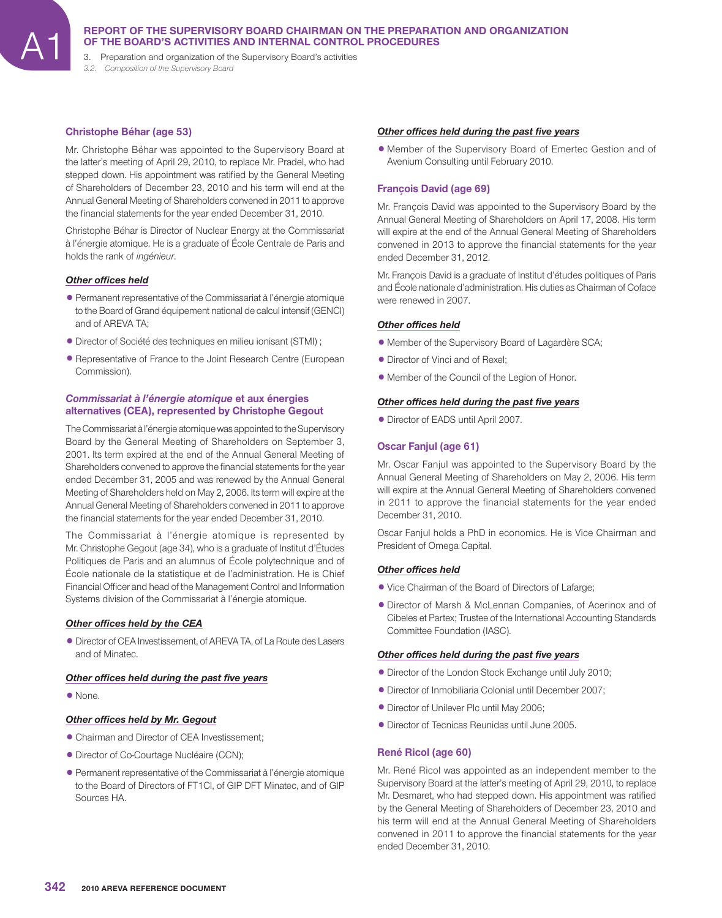3. Preparation and organization of the Supervisory Board's activities *3.2. Composition of the Supervisory Board*

## **Christophe Béhar (age 53)**

Mr. Christophe Béhar was appointed to the Supervisory Board at the latter's meeting of April 29, 2010, to replace Mr. Pradel, who had stepped down. His appointment was ratified by the General Meeting of Shareholders of December 23, 2010 and his term will end at the Annual General Meeting of Shareholders convened in 2011 to approve the financial statements for the year ended December 31, 2010.

Christophe Béhar is Director of Nuclear Energy at the Commissariat à l'énergie atomique. He is a graduate of École Centrale de Paris and holds the rank of *ingénieur*.

## **Other offices held**

- 1Permanent representative of the Commissariat à l'énergie atomique to the Board of Grand équipement national de calcul intensif (GENCI) and of AREVA TA;
- 1Director of Société des techniques en milieu ionisant (STMI) ;
- 1Representative of France to the Joint Research Centre (European Commission).

## *Commissariat à l'énergie atomique* **et aux énergies alternatives (CEA), represented by Christophe Gegout**

The Commissariat à l'énergie atomiquewas appointed to the Supervisory Board by the General Meeting of Shareholders on September 3, 2001. Its term expired at the end of the Annual General Meeting of Shareholders convened to approve the financial statements for the year ended December 31, 2005 and was renewed by the Annual General Meeting of Shareholders held on May 2, 2006. Its term will expire at the Annual General Meeting of Shareholders convened in 2011 to approve the financial statements for the year ended December 31, 2010.

The Commissariat à l'énergie atomique is represented by Mr. Christophe Gegout (age 34), who is a graduate of Institut d'Études Politiques de Paris and an alumnus of École polytechnique and of École nationale de la statistique et de l'administration. He is Chief Financial Officer and head of the Management Control and Information Systems division of the Commissariat à l'énergie atomique.

## **Other offices held by the CEA**

 $\bullet$  Director of CEA Investissement, of AREVA TA, of La Route des Lasers and of Minatec.

#### **Other offices held during the past five years**

• None.

## **Other offices held by Mr. Gegout**

- Chairman and Director of CEA Investissement;
- $\bullet$  Director of Co-Courtage Nucléaire (CCN);
- 1Permanent representative of the Commissariat à l'énergie atomique to the Board of Directors of FT1CI, of GIP DFT Minatec, and of GIP Sources HA.

#### **Other offices held during the past five years**

1 Member of the Supervisory Board of Emertec Gestion and of Avenium Consulting until February 2010.

# **François David (age 69)**

Mr. François David was appointed to the Supervisory Board by the Annual General Meeting of Shareholders on April 17, 2008. His term will expire at the end of the Annual General Meeting of Shareholders convened in 2013 to approve the financial statements for the year ended December 31, 2012.

Mr. François David is a graduate of Institut d'études politiques of Paris and École nationale d'administration. His duties as Chairman of Coface were renewed in 2007.

#### **Other offices held**

- Member of the Supervisory Board of Lagardère SCA;
- Director of Vinci and of Rexel;
- 1 Member of the Council of the Legion of Honor.

#### **Other offices held during the past five years**

• Director of EADS until April 2007.

# **Oscar Fanjul (age 61)**

Mr. Oscar Fanjul was appointed to the Supervisory Board by the Annual General Meeting of Shareholders on May 2, 2006. His term will expire at the Annual General Meeting of Shareholders convened in 2011 to approve the financial statements for the year ended December 31, 2010.

Oscar Fanjul holds a PhD in economics. He is Vice Chairman and President of Omega Capital.

## **Other offices held**

- Vice Chairman of the Board of Directors of Lafarge;
- 1Director of Marsh & McLennan Companies, of Acerinox and of Cibeles et Partex; Trustee of the International Accounting Standards Committee Foundation (IASC).

#### **Other offices held during the past five years**

- Director of the London Stock Exchange until July 2010;
- 1Director of Inmobiliaria Colonial until December 2007;
- Director of Unilever Plc until May 2006;
- Director of Tecnicas Reunidas until June 2005.

## **René Ricol (age 60)**

Mr. René Ricol was appointed as an independent member to the Supervisory Board at the latter's meeting of April 29, 2010, to replace Mr. Desmaret, who had stepped down. His appointment was ratified by the General Meeting of Shareholders of December 23, 2010 and his term will end at the Annual General Meeting of Shareholders convened in 2011 to approve the financial statements for the year ended December 31, 2010.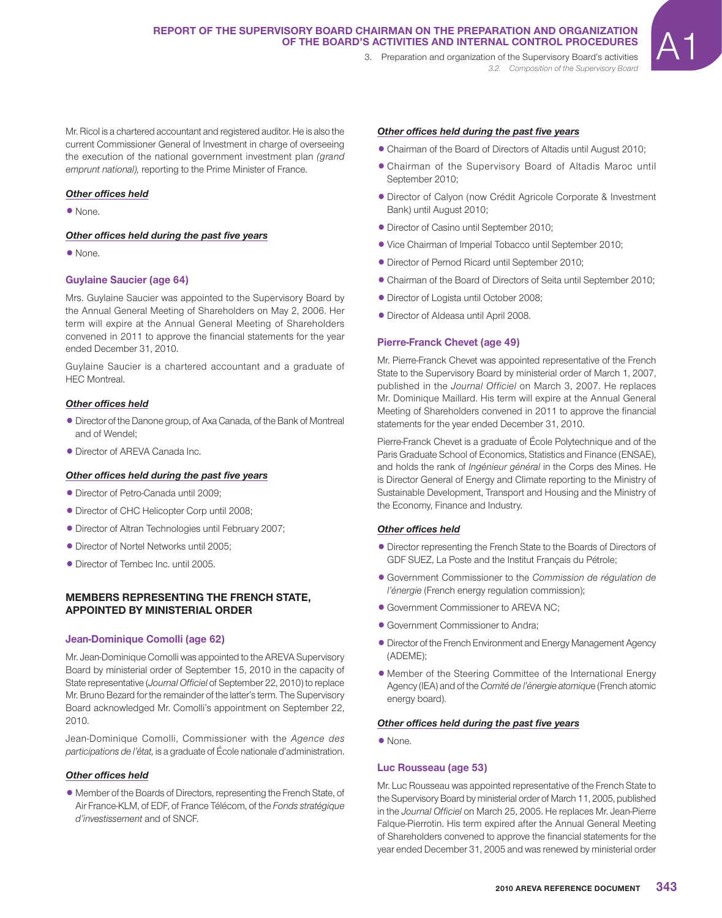*3.2. Composition of the Supervisory Board*

Mr. Ricol is a chartered accountant and registered auditor. He is also the current Commissioner General of Investment in charge of overseeing the execution of the national government investment plan *(grand emprunt national),* reporting to the Prime Minister of France.

#### **Other offices held**

• None.

#### **Other offices held during the past five years**

• None.

# **Guylaine Saucier (age 64)**

Mrs. Guylaine Saucier was appointed to the Supervisory Board by the Annual General Meeting of Shareholders on May 2, 2006. Her term will expire at the Annual General Meeting of Shareholders convened in 2011 to approve the financial statements for the year ended December 31, 2010.

Guylaine Saucier is a chartered accountant and a graduate of HEC Montreal.

## **Other offices held**

- Director of the Danone group, of Axa Canada, of the Bank of Montreal and of Wendel;
- Director of AREVA Canada Inc.

#### **Other offices held during the past five years**

- Director of Petro-Canada until 2009:
- Director of CHC Helicopter Corp until 2008;
- 1Director of Altran Technologies until February 2007;
- Director of Nortel Networks until 2005;
- Director of Tembec Inc. until 2005.

#### **MEMBERS REPRESENTING THE FRENCH STATE, APPOINTED BY MINISTERIAL ORDER**

#### **Jean-Dominique Comolli (age 62)**

Mr. Jean-Dominique Comolli was appointed to the AREVA Supervisory Board by ministerial order of September 15, 2010 in the capacity of State representative (*Journal Officiel* of September 22, 2010) to replace Mr. Bruno Bezard for the remainder of the latter's term. The Supervisory Board acknowledged Mr. Comolli's appointment on September 22, 2010.

Jean-Dominique Comolli, Commissioner with the *Agence des participations de l'état,* is a graduate of École nationale d'administration.

#### **Other offices held**

1 Member of the Boards of Directors, representing the French State, of Air France-KLM, of EDF, of France Télécom, of the *Fonds stratégique d'investissement* and of SNCF.

#### **Other offices held during the past five years**

- 1Chairman of the Board of Directors of Altadis until August 2010;
- 1Chairman of the Supervisory Board of Altadis Maroc until September 2010;
- 1Director of Calyon (now Crédit Agricole Corporate & Investment Bank) until August 2010;
- Director of Casino until September 2010;
- Vice Chairman of Imperial Tobacco until September 2010;
- Director of Pernod Ricard until September 2010;
- 1Chairman of the Board of Directors of Seita until September 2010;
- $\bullet$  Director of Logista until October 2008;
- Director of Aldeasa until April 2008.

#### **Pierre-Franck Chevet (age 49)**

Mr. Pierre-Franck Chevet was appointed representative of the French State to the Supervisory Board by ministerial order of March 1, 2007, published in the *Journal Officiel* on March 3, 2007. He replaces Mr. Dominique Maillard. His term will expire at the Annual General Meeting of Shareholders convened in 2011 to approve the financial statements for the year ended December 31, 2010.

Pierre-Franck Chevet is a graduate of École Polytechnique and of the Paris Graduate School of Economics, Statistics and Finance (ENSAE), and holds the rank of *Ingénieur général* in the Corps des Mines. He is Director General of Energy and Climate reporting to the Ministry of Sustainable Development, Transport and Housing and the Ministry of the Economy, Finance and Industry.

#### **Other offices held**

- 1Director representing the French State to the Boards of Directors of GDF SUEZ, La Poste and the Institut Français du Pétrole;
- 1 Government Commissioner to the *Commission de régulation de l'énergie* (French energy regulation commission);
- 1 Government Commissioner to AREVA NC;
- 1 Government Commissioner to Andra;
- 1Director of the French Environment and Energy Management Agency (ADEME);
- Member of the Steering Committee of the International Energy Agency (IEA) and of the *Comité de l'énergie atomiqu*e (French atomic energy board).

#### **Other offices held during the past five years**

• None.

#### **Luc Rousseau (age 53)**

Mr. Luc Rousseau was appointed representative of the French State to the Supervisory Board by ministerial order of March 11, 2005, published in the *Journal Officiel* on March 25, 2005. He replaces Mr. Jean-Pierre Falque-Pierrotin. His term expired after the Annual General Meeting of Shareholders convened to approve the financial statements for the year ended December 31, 2005 and was renewed by ministerial order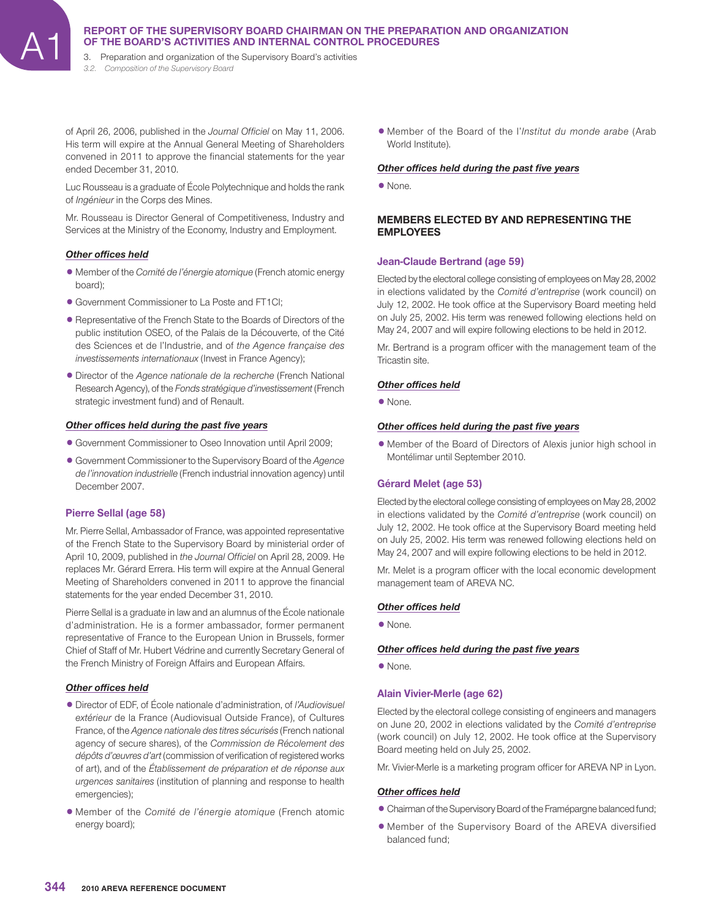3. Preparation and organization of the Supervisory Board's activities *3.2. Composition of the Supervisory Board*

of April 26, 2006, published in the *Journal Officiel* on May 11, 2006. His term will expire at the Annual General Meeting of Shareholders convened in 2011 to approve the financial statements for the year ended December 31, 2010.

Luc Rousseau is a graduate of École Polytechnique and holds the rank of *Ingénieur* in the Corps des Mines.

Mr. Rousseau is Director General of Competitiveness, Industry and Services at the Ministry of the Economy, Industry and Employment.

## **Other offices held**

- 1 Member of the *Comité de l'énergie atomique* (French atomic energy board);
- 1 Government Commissioner to La Poste and FT1CI;
- 1Representative of the French State to the Boards of Directors of the public institution OSEO, of the Palais de la Découverte, of the Cité des Sciences et de l'Industrie, and of *the Agence française des investissements internationaux* (Invest in France Agency);
- 1Director of the *Agence nationale de la recherche* (French National Research Agency), of the *Fonds stratégique d'investissement* (French strategic investment fund) and of Renault.

#### **Other offices held during the past five years**

- 1 Government Commissioner to Oseo Innovation until April 2009;
- 1 Government Commissioner to the Supervisory Board of the *Agence de l'innovation industrielle* (French industrial innovation agency) until December 2007.

## **Pierre Sellal (age 58)**

Mr. Pierre Sellal, Ambassador of France, was appointed representative of the French State to the Supervisory Board by ministerial order of April 10, 2009, published in *the Journal Officiel* on April 28, 2009. He replaces Mr. Gérard Errera. His term will expire at the Annual General Meeting of Shareholders convened in 2011 to approve the financial statements for the year ended December 31, 2010.

Pierre Sellal is a graduate in law and an alumnus of the École nationale d'administration. He is a former ambassador, former permanent representative of France to the European Union in Brussels, former Chief of Staff of Mr. Hubert Védrine and currently Secretary General of the French Ministry of Foreign Affairs and European Affairs.

## **Other offices held**

- 1Director of EDF, of École nationale d'administration, of *l'Audiovisuel extérieur* de la France (Audiovisual Outside France), of Cultures France, of the *Agence nationale des titres sécurisés* (French national agency of secure shares), of the *Commission de Récolement des*  dépôts d'œuvres d'art (commission of verification of registered works of art), and of the *Établissement de préparation et de réponse aux urgences sanitaires* (institution of planning and response to health emergencies);
- 1 Member of the *Comité de l'énergie atomique* (French atomic energy board);

1 Member of the Board of the l'*Institut du monde arabe* (Arab World Institute).

#### **Other offices held during the past five years**

1None.

#### **MEMBERS ELECTED BY AND REPRESENTING THE EMPLOYEES**

# **Jean-Claude Bertrand (age 59)**

Elected by the electoral college consisting of employees on May 28, 2002 in elections validated by the *Comité d'entreprise* (work council) on July 12, 2002. He took office at the Supervisory Board meeting held on July 25, 2002. His term was renewed following elections held on May 24, 2007 and will expire following elections to be held in 2012.

Mr. Bertrand is a program officer with the management team of the Tricastin site.

#### **Other offices held**

1None.

#### *Other offi ces held during the past fi ve years*

• Member of the Board of Directors of Alexis junior high school in Montélimar until September 2010.

# **Gérard Melet (age 53)**

Elected by the electoral college consisting of employees on May 28, 2002 in elections validated by the *Comité d'entreprise* (work council) on July 12, 2002. He took office at the Supervisory Board meeting held on July 25, 2002. His term was renewed following elections held on May 24, 2007 and will expire following elections to be held in 2012.

Mr. Melet is a program officer with the local economic development management team of AREVA NC.

## **Other offices held**

• None.

## **Other offices held during the past five years**

• None.

#### **Alain Vivier-Merle (age 62)**

Elected by the electoral college consisting of engineers and managers on June 20, 2002 in elections validated by the *Comité d'entreprise*  (work council) on July 12, 2002. He took office at the Supervisory Board meeting held on July 25, 2002.

Mr. Vivier-Merle is a marketing program officer for AREVA NP in Lyon.

#### **Other offices held**

- Chairman of the Supervisory Board of the Framépargne balanced fund;
- 1 Member of the Supervisory Board of the AREVA diversified balanced fund;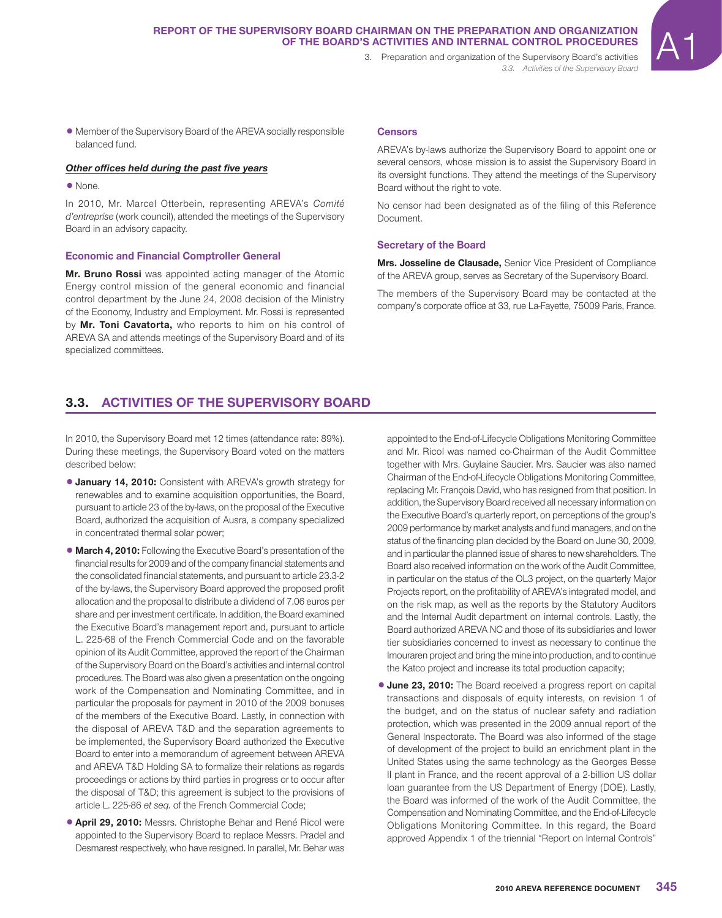# REPORT OF THE SUPERVISORY BOARD CHAIRMAN ON THE PREPARATION AND ORGANIZATION<br>OF THE BOARD'S ACTIVITIES AND INTERNAL CONTROL PROCEDURES<br>3. Preparation and organization of the Supervisory Board's activities **OF THE BOARD'S ACTIVITIES AND INTERNAL CONTROL PROCEDURES**

*3.3. Activities of the Supervisory Board*

1 Member of the Supervisory Board of the AREVA socially responsible balanced fund.

# **Other offices held during the past five years**

1None.

In 2010, Mr. Marcel Otterbein, representing AREVA's *Comité d'entreprise* (work council), attended the meetings of the Supervisory Board in an advisory capacity.

# **Economic and Financial Comptroller General**

**Mr. Bruno Rossi** was appointed acting manager of the Atomic Energy control mission of the general economic and financial control department by the June 24, 2008 decision of the Ministry of the Economy, Industry and Employment. Mr. Rossi is represented by **Mr. Toni Cavatorta,** who reports to him on his control of AREVA SA and attends meetings of the Supervisory Board and of its specialized committees.

#### **Censors**

AREVA's by-laws authorize the Supervisory Board to appoint one or several censors, whose mission is to assist the Supervisory Board in its oversight functions. They attend the meetings of the Supervisory Board without the right to vote.

No censor had been designated as of the filing of this Reference Document.

#### **Secretary of the Board**

**Mrs. Josseline de Clausade,** Senior Vice President of Compliance of the AREVA group, serves as Secretary of the Supervisory Board.

The members of the Supervisory Board may be contacted at the company's corporate office at 33, rue La-Fayette, 75009 Paris, France.

# **3.3. ACTIVITIES OF THE SUPERVISORY BOARD**

In 2010, the Supervisory Board met 12 times (attendance rate: 89%). During these meetings, the Supervisory Board voted on the matters described below:

- **January 14, 2010:** Consistent with AREVA's growth strategy for renewables and to examine acquisition opportunities, the Board, pursuant to article 23 of the by-laws, on the proposal of the Executive Board, authorized the acquisition of Ausra, a company specialized in concentrated thermal solar power;
- **March 4, 2010:** Following the Executive Board's presentation of the financial results for 2009 and of the company financial statements and the consolidated financial statements, and pursuant to article 23.3-2 of the by-laws, the Supervisory Board approved the proposed profit allocation and the proposal to distribute a dividend of 7.06 euros per share and per investment certificate. In addition, the Board examined the Executive Board's management report and, pursuant to article L. 225-68 of the French Commercial Code and on the favorable opinion of its Audit Committee, approved the report of the Chairman of the Supervisory Board on the Board's activities and internal control procedures. The Board was also given a presentation on the ongoing work of the Compensation and Nominating Committee, and in particular the proposals for payment in 2010 of the 2009 bonuses of the members of the Executive Board. Lastly, in connection with the disposal of AREVA T&D and the separation agreements to be implemented, the Supervisory Board authorized the Executive Board to enter into a memorandum of agreement between AREVA and AREVA T&D Holding SA to formalize their relations as regards proceedings or actions by third parties in progress or to occur after the disposal of T&D; this agreement is subject to the provisions of article L. 225-86 *et seq.* of the French Commercial Code;
- **4 April 29, 2010:** Messrs. Christophe Behar and René Ricol were appointed to the Supervisory Board to replace Messrs. Pradel and Desmarest respectively, who have resigned. In parallel, Mr. Behar was

appointed to the End-of-Lifecycle Obligations Monitoring Committee and Mr. Ricol was named co-Chairman of the Audit Committee together with Mrs. Guylaine Saucier. Mrs. Saucier was also named Chairman of the End-of-Lifecycle Obligations Monitoring Committee, replacing Mr. François David, who has resigned from that position. In addition, the Supervisory Board received all necessary information on the Executive Board's quarterly report, on perceptions of the group's 2009 performance by market analysts and fund managers, and on the status of the financing plan decided by the Board on June 30, 2009, and in particular the planned issue of shares to new shareholders. The Board also received information on the work of the Audit Committee, in particular on the status of the OL3 project, on the quarterly Major Projects report, on the profitability of AREVA's integrated model, and on the risk map, as well as the reports by the Statutory Auditors and the Internal Audit department on internal controls. Lastly, the Board authorized AREVA NC and those of its subsidiaries and lower tier subsidiaries concerned to invest as necessary to continue the Imouraren project and bring the mine into production, and to continue the Katco project and increase its total production capacity;

**June 23, 2010:** The Board received a progress report on capital transactions and disposals of equity interests, on revision 1 of the budget, and on the status of nuclear safety and radiation protection, which was presented in the 2009 annual report of the General Inspectorate. The Board was also informed of the stage of development of the project to build an enrichment plant in the United States using the same technology as the Georges Besse II plant in France, and the recent approval of a 2-billion US dollar loan guarantee from the US Department of Energy (DOE). Lastly, the Board was informed of the work of the Audit Committee, the Compensation and Nominating Committee, and the End-of-Lifecycle Obligations Monitoring Committee. In this regard, the Board approved Appendix 1 of the triennial "Report on Internal Controls"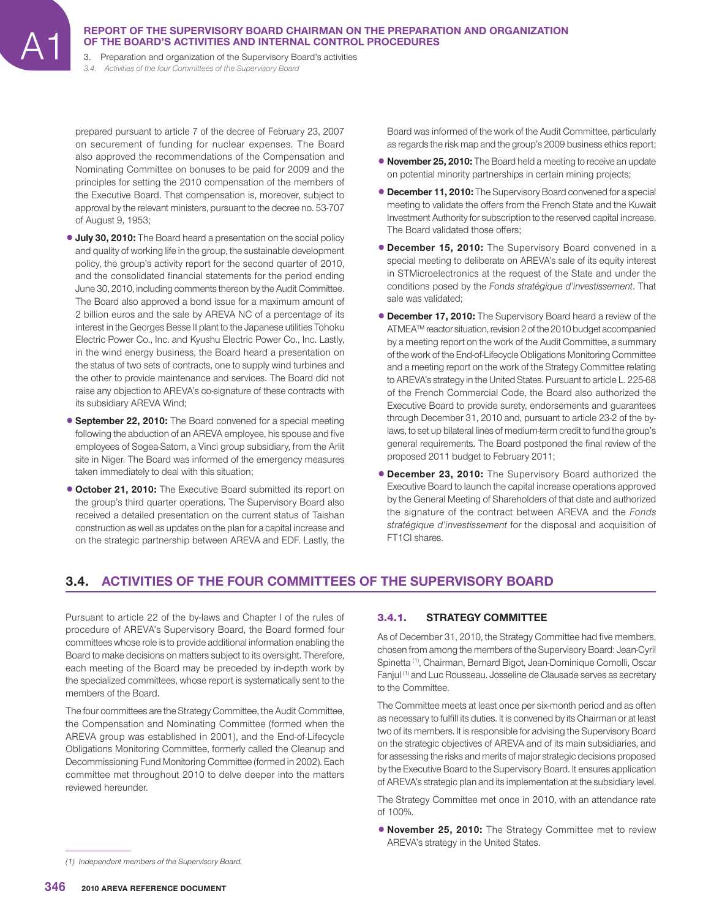3. Preparation and organization of the Supervisory Board's activities *3.4. Activities of the four Committees of the Supervisory Board*

prepared pursuant to article 7 of the decree of February 23, 2007 on securement of funding for nuclear expenses. The Board also approved the recommendations of the Compensation and Nominating Committee on bonuses to be paid for 2009 and the principles for setting the 2010 compensation of the members of the Executive Board. That compensation is, moreover, subject to approval by the relevant ministers, pursuant to the decree no. 53-707 of August 9, 1953;

- **July 30, 2010:** The Board heard a presentation on the social policy and quality of working life in the group, the sustainable development policy, the group's activity report for the second quarter of 2010, and the consolidated financial statements for the period ending June 30, 2010, including comments thereon by the Audit Committee. The Board also approved a bond issue for a maximum amount of 2 billion euros and the sale by AREVA NC of a percentage of its interest in the Georges Besse II plant to the Japanese utilities Tohoku Electric Power Co., Inc. and Kyushu Electric Power Co., Inc. Lastly, in the wind energy business, the Board heard a presentation on the status of two sets of contracts, one to supply wind turbines and the other to provide maintenance and services. The Board did not raise any objection to AREVA's co-signature of these contracts with its subsidiary AREVA Wind;
- **6 September 22, 2010:** The Board convened for a special meeting following the abduction of an AREVA employee, his spouse and five employees of Sogea-Satom, a Vinci group subsidiary, from the Arlit site in Niger. The Board was informed of the emergency measures taken immediately to deal with this situation;
- **October 21, 2010:** The Executive Board submitted its report on the group's third quarter operations. The Supervisory Board also received a detailed presentation on the current status of Taishan construction as well as updates on the plan for a capital increase and on the strategic partnership between AREVA and EDF. Lastly, the

Board was informed of the work of the Audit Committee, particularly as regards the risk map and the group's 2009 business ethics report;

- **November 25, 2010:** The Board held a meeting to receive an update on potential minority partnerships in certain mining projects;
- **December 11, 2010:** The Supervisory Board convened for a special meeting to validate the offers from the French State and the Kuwait Investment Authority for subscription to the reserved capital increase. The Board validated those offers:
- **December 15, 2010:** The Supervisory Board convened in a special meeting to deliberate on AREVA's sale of its equity interest in STMicroelectronics at the request of the State and under the conditions posed by the *Fonds stratégique d'investissement*. That sale was validated;
- **December 17, 2010:** The Supervisory Board heard a review of the ATMEA™ reactor situation, revision 2 of the 2010 budget accompanied by a meeting report on the work of the Audit Committee, a summary of the work of the End-of-Lifecycle Obligations Monitoring Committee and a meeting report on the work of the Strategy Committee relating to AREVA's strategy in the United States. Pursuant to article L. 225-68 of the French Commercial Code, the Board also authorized the Executive Board to provide surety, endorsements and guarantees through December 31, 2010 and, pursuant to article 23-2 of the bylaws, to set up bilateral lines of medium-term credit to fund the group's general requirements. The Board postponed the final review of the proposed 2011 budget to February 2011;
- **December 23, 2010:** The Supervisory Board authorized the Executive Board to launch the capital increase operations approved by the General Meeting of Shareholders of that date and authorized the signature of the contract between AREVA and the *Fonds stratégique d'investissement* for the disposal and acquisition of FT1CI shares.

# **3.4. ACTIVITIES OF THE FOUR COMMITTEES OF THE SUPERVISORY BOARD**

Pursuant to article 22 of the by-laws and Chapter I of the rules of procedure of AREVA's Supervisory Board, the Board formed four committees whose role is to provide additional information enabling the Board to make decisions on matters subject to its oversight. Therefore, each meeting of the Board may be preceded by in-depth work by the specialized committees, whose report is systematically sent to the members of the Board.

The four committees are the Strategy Committee, the Audit Committee, the Compensation and Nominating Committee (formed when the AREVA group was established in 2001), and the End-of-Lifecycle Obligations Monitoring Committee, formerly called the Cleanup and Decommissioning Fund Monitoring Committee (formed in 2002). Each committee met throughout 2010 to delve deeper into the matters reviewed hereunder.

## 3.4.1. **STRATEGY COMMITTEE**

As of December 31, 2010, the Strategy Committee had five members, chosen from among the members of the Supervisory Board: Jean-Cyril Spinetta (1), Chairman, Bernard Bigot, Jean-Dominique Comolli, Oscar Fanjul (1) and Luc Rousseau. Josseline de Clausade serves as secretary to the Committee.

The Committee meets at least once per six-month period and as often as necessary to fulfill its duties. It is convened by its Chairman or at least two of its members. It is responsible for advising the Supervisory Board on the strategic objectives of AREVA and of its main subsidiaries, and for assessing the risks and merits of major strategic decisions proposed by the Executive Board to the Supervisory Board. It ensures application of AREVA's strategic plan and its implementation at the subsidiary level.

The Strategy Committee met once in 2010, with an attendance rate of 100%.

**• November 25, 2010:** The Strategy Committee met to review AREVA's strategy in the United States.

*<sup>(1)</sup> Independent members of the Supervisory Board.*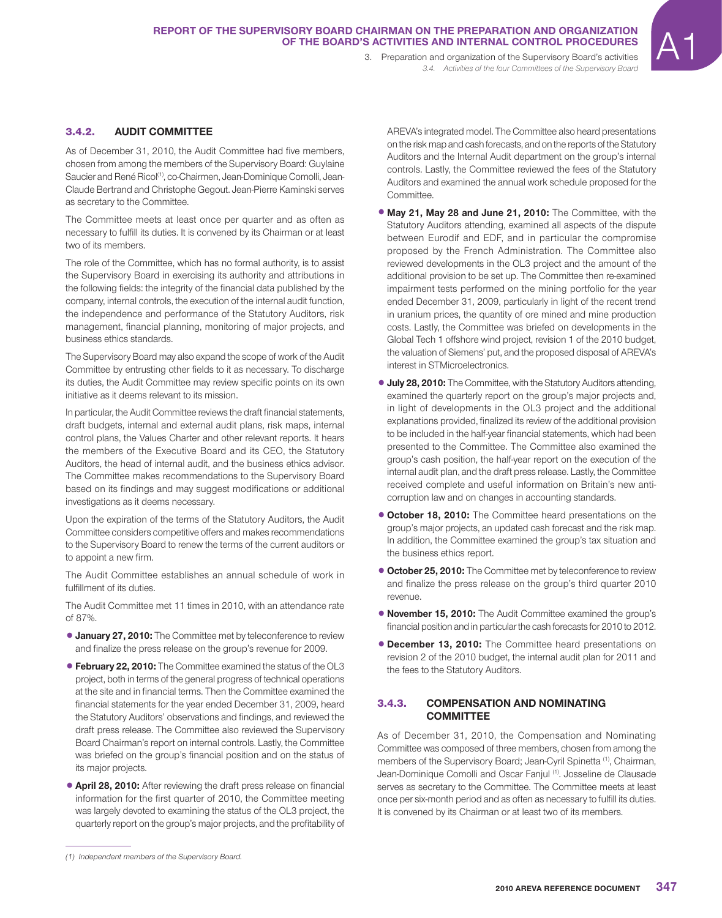# REPORT OF THE SUPERVISORY BOARD CHAIRMAN ON THE PREPARATION AND ORGANIZATION<br>OF THE BOARD'S ACTIVITIES AND INTERNAL CONTROL PROCEDURES<br>3. Preparation and organization of the Supervisory Board's activities **OF THE BOARD'S ACTIVITIES AND INTERNAL CONTROL PROCEDURES**

*3.4. Activities of the four Committees of the Supervisory Board*

# 3.4.2. **AUDIT COMMITTEE**

As of December 31, 2010, the Audit Committee had five members, chosen from among the members of the Supervisory Board: Guylaine Saucier and René Ricol<sup>(1)</sup>, co-Chairmen, Jean-Dominique Comolli, Jean-Claude Bertrand and Christophe Gegout. Jean-Pierre Kaminski serves as secretary to the Committee.

The Committee meets at least once per quarter and as often as necessary to fulfill its duties. It is convened by its Chairman or at least two of its members.

The role of the Committee, which has no formal authority, is to assist the Supervisory Board in exercising its authority and attributions in the following fields: the integrity of the financial data published by the company, internal controls, the execution of the internal audit function, the independence and performance of the Statutory Auditors, risk management, financial planning, monitoring of major projects, and business ethics standards.

The Supervisory Board may also expand the scope of work of the Audit Committee by entrusting other fields to it as necessary. To discharge its duties, the Audit Committee may review specific points on its own initiative as it deems relevant to its mission.

In particular, the Audit Committee reviews the draft financial statements, draft budgets, internal and external audit plans, risk maps, internal control plans, the Values Charter and other relevant reports. It hears the members of the Executive Board and its CEO, the Statutory Auditors, the head of internal audit, and the business ethics advisor. The Committee makes recommendations to the Supervisory Board based on its findings and may suggest modifications or additional investigations as it deems necessary.

Upon the expiration of the terms of the Statutory Auditors, the Audit Committee considers competitive offers and makes recommendations to the Supervisory Board to renew the terms of the current auditors or to appoint a new firm.

The Audit Committee establishes an annual schedule of work in fulfillment of its duties.

The Audit Committee met 11 times in 2010, with an attendance rate of 87%.

- **January 27, 2010:** The Committee met by teleconference to review and finalize the press release on the group's revenue for 2009.
- **February 22, 2010:** The Committee examined the status of the OL3 project, both in terms of the general progress of technical operations at the site and in financial terms. Then the Committee examined the financial statements for the year ended December 31, 2009, heard the Statutory Auditors' observations and findings, and reviewed the draft press release. The Committee also reviewed the Supervisory Board Chairman's report on internal controls. Lastly, the Committee was briefed on the group's financial position and on the status of its major projects.
- **4 April 28, 2010:** After reviewing the draft press release on financial information for the first quarter of 2010, the Committee meeting was largely devoted to examining the status of the OL3 project, the quarterly report on the group's major projects, and the profitability of

*(1) Independent members of the Supervisory Board.*

AREVA's integrated model. The Committee also heard presentations on the risk map and cash forecasts, and on the reports of the Statutory Auditors and the Internal Audit department on the group's internal controls. Lastly, the Committee reviewed the fees of the Statutory Auditors and examined the annual work schedule proposed for the Committee.

- **May 21, May 28 and June 21, 2010:** The Committee, with the Statutory Auditors attending, examined all aspects of the dispute between Eurodif and EDF, and in particular the compromise proposed by the French Administration. The Committee also reviewed developments in the OL3 project and the amount of the additional provision to be set up. The Committee then re-examined impairment tests performed on the mining portfolio for the year ended December 31, 2009, particularly in light of the recent trend in uranium prices, the quantity of ore mined and mine production costs. Lastly, the Committee was briefed on developments in the Global Tech 1 offshore wind project, revision 1 of the 2010 budget, the valuation of Siemens' put, and the proposed disposal of AREVA's interest in STMicroelectronics.
- **July 28, 2010:** The Committee, with the Statutory Auditors attending, examined the quarterly report on the group's major projects and, in light of developments in the OL3 project and the additional explanations provided, finalized its review of the additional provision to be included in the half-year financial statements, which had been presented to the Committee. The Committee also examined the group's cash position, the half-year report on the execution of the internal audit plan, and the draft press release. Lastly, the Committee received complete and useful information on Britain's new anticorruption law and on changes in accounting standards.
- **October 18, 2010:** The Committee heard presentations on the group's major projects, an updated cash forecast and the risk map. In addition, the Committee examined the group's tax situation and the business ethics report.
- **October 25, 2010:** The Committee met by teleconference to review and finalize the press release on the group's third quarter 2010 revenue.
- **November 15, 2010:** The Audit Committee examined the group's financial position and in particular the cash forecasts for 2010 to 2012.
- **December 13, 2010:** The Committee heard presentations on revision 2 of the 2010 budget, the internal audit plan for 2011 and the fees to the Statutory Auditors.

# 3.4.3. **COMPENSATION AND NOMINATING COMMITTEE**

As of December 31, 2010, the Compensation and Nominating Committee was composed of three members, chosen from among the members of the Supervisory Board; Jean-Cyril Spinetta (1), Chairman, Jean-Dominique Comolli and Oscar Fanjul (1). Josseline de Clausade serves as secretary to the Committee. The Committee meets at least once per six-month period and as often as necessary to fulfill its duties. It is convened by its Chairman or at least two of its members.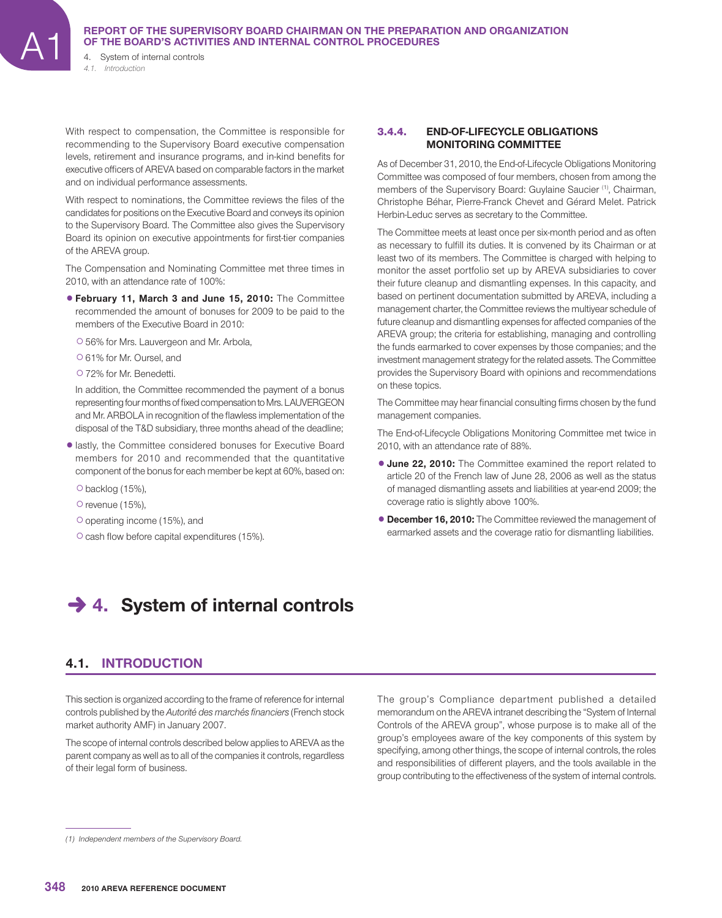4. System of internal controls *4.1. Introduction*

With respect to compensation, the Committee is responsible for recommending to the Supervisory Board executive compensation levels, retirement and insurance programs, and in-kind benefits for executive officers of AREVA based on comparable factors in the market and on individual performance assessments.

With respect to nominations, the Committee reviews the files of the candidates for positions on the Executive Board and conveys its opinion to the Supervisory Board. The Committee also gives the Supervisory Board its opinion on executive appointments for first-tier companies of the AREVA group.

The Compensation and Nominating Committee met three times in 2010, with an attendance rate of 100%:

- 1**February 11, March 3 and June 15, 2010:** The Committee recommended the amount of bonuses for 2009 to be paid to the members of the Executive Board in 2010:
	- C56% for Mrs. Lauvergeon and Mr. Arbola,
	- C61% for Mr. Oursel, and
	- C72% for Mr. Benedetti.

In addition, the Committee recommended the payment of a bonus representing four months of fixed compensation to Mrs. LAUVERGEON and Mr. ARBOLA in recognition of the flawless implementation of the disposal of the T&D subsidiary, three months ahead of the deadline;

- $\bullet$  lastly, the Committee considered bonuses for Executive Board members for 2010 and recommended that the quantitative component of the bonus for each member be kept at 60%, based on:
	- $O$  backlog (15%),
	- O revenue (15%),
	- O operating income (15%), and
	- $\circ$  cash flow before capital expenditures (15%).

## 3.4.4. **END-OF-LIFECYCLE OBLIGATIONS MONITORING COMMITTEE**

As of December 31, 2010, the End-of-Lifecycle Obligations Monitoring Committee was composed of four members, chosen from among the members of the Supervisory Board: Guylaine Saucier <sup>(1)</sup>, Chairman, Christophe Béhar, Pierre-Franck Chevet and Gérard Melet. Patrick Herbin-Leduc serves as secretary to the Committee.

The Committee meets at least once per six-month period and as often as necessary to fulfill its duties. It is convened by its Chairman or at least two of its members. The Committee is charged with helping to monitor the asset portfolio set up by AREVA subsidiaries to cover their future cleanup and dismantling expenses. In this capacity, and based on pertinent documentation submitted by AREVA, including a management charter, the Committee reviews the multiyear schedule of future cleanup and dismantling expenses for affected companies of the AREVA group; the criteria for establishing, managing and controlling the funds earmarked to cover expenses by those companies; and the investment management strategy for the related assets. The Committee provides the Supervisory Board with opinions and recommendations on these topics.

The Committee may hear financial consulting firms chosen by the fund management companies.

The End-of-Lifecycle Obligations Monitoring Committee met twice in 2010, with an attendance rate of 88%.

- **June 22, 2010:** The Committee examined the report related to article 20 of the French law of June 28, 2006 as well as the status of managed dismantling assets and liabilities at year-end 2009; the coverage ratio is slightly above 100%.
- **December 16, 2010:** The Committee reviewed the management of earmarked assets and the coverage ratio for dismantling liabilities.

# **→ 4. System of internal controls**

# **4.1. INTRODUCTION**

This section is organized according to the frame of reference for internal controls published by the *Autorité des marchés financiers* (French stock market authority AMF) in January 2007.

The scope of internal controls described below applies to AREVA as the parent company as well as to all of the companies it controls, regardless of their legal form of business.

The group's Compliance department published a detailed memorandum on the AREVA intranet describing the "System of Internal Controls of the AREVA group", whose purpose is to make all of the group's employees aware of the key components of this system by specifying, among other things, the scope of internal controls, the roles and responsibilities of different players, and the tools available in the group contributing to the effectiveness of the system of internal controls.

*<sup>(1)</sup> Independent members of the Supervisory Board.*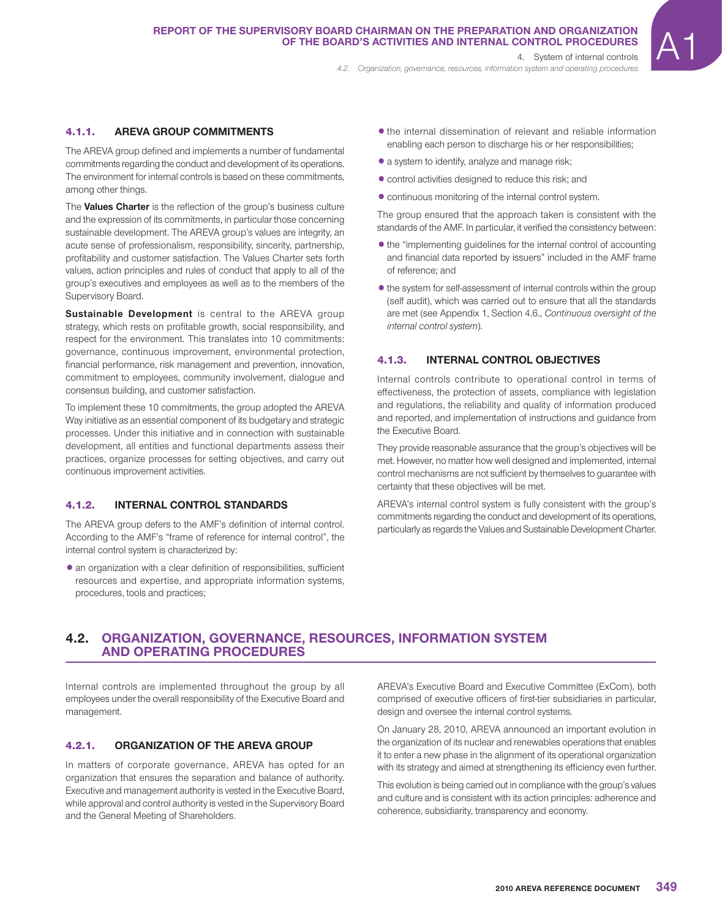*4.2. Organization, governance, resources, information system and operating procedures*

# 4.1.1. **AREVA GROUP COMMITMENTS**

The AREVA group defined and implements a number of fundamental commitments regarding the conduct and development of its operations. The environment for internal controls is based on these commitments, among other things.

The **Values Charter** is the reflection of the group's business culture and the expression of its commitments, in particular those concerning sustainable development. The AREVA group's values are integrity, an acute sense of professionalism, responsibility, sincerity, partnership, profitability and customer satisfaction. The Values Charter sets forth values, action principles and rules of conduct that apply to all of the group's executives and employees as well as to the members of the Supervisory Board.

**Sustainable Development** is central to the AREVA group strategy, which rests on profitable growth, social responsibility, and respect for the environment. This translates into 10 commitments: governance, continuous improvement, environmental protection, financial performance, risk management and prevention, innovation, commitment to employees, community involvement, dialogue and consensus building, and customer satisfaction.

To implement these 10 commitments, the group adopted the AREVA Way initiative as an essential component of its budgetary and strategic processes. Under this initiative and in connection with sustainable development, all entities and functional departments assess their practices, organize processes for setting objectives, and carry out continuous improvement activities.

# 4.1.2. **INTERNAL CONTROL STANDARDS**

The AREVA group defers to the AMF's definition of internal control. According to the AMF's "frame of reference for internal control", the internal control system is characterized by:

 $\bullet$  an organization with a clear definition of responsibilities, sufficient resources and expertise, and appropriate information systems, procedures, tools and practices;

- $\bullet$  the internal dissemination of relevant and reliable information enabling each person to discharge his or her responsibilities;
- 1a system to identify, analyze and manage risk;
- $\bullet$  control activities designed to reduce this risk; and
- $\bullet$  continuous monitoring of the internal control system.

The group ensured that the approach taken is consistent with the standards of the AMF. In particular, it verified the consistency between:

- the "implementing guidelines for the internal control of accounting and financial data reported by issuers" included in the AMF frame of reference; and
- $\bullet$  the system for self-assessment of internal controls within the group (self audit), which was carried out to ensure that all the standards are met (see Appendix 1, Section 4.6., *Continuous oversight of the internal control system*).

# 4.1.3. **INTERNAL CONTROL OBJECTIVES**

Internal controls contribute to operational control in terms of effectiveness, the protection of assets, compliance with legislation and regulations, the reliability and quality of information produced and reported, and implementation of instructions and guidance from the Executive Board.

They provide reasonable assurance that the group's objectives will be met. However, no matter how well designed and implemented, internal control mechanisms are not sufficient by themselves to guarantee with certainty that these objectives will be met.

AREVA's internal control system is fully consistent with the group's commitments regarding the conduct and development of its operations, particularly as regards the Values and Sustainable Development Charter.

# **4.2. ORGANIZATION, GOVERNANCE, RESOURCES, INFORMATION SYSTEM AND OPERATING PROCEDURES**

Internal controls are implemented throughout the group by all employees under the overall responsibility of the Executive Board and management.

# 4.2.1. **ORGANIZATION OF THE AREVA GROUP**

In matters of corporate governance, AREVA has opted for an organization that ensures the separation and balance of authority. Executive and management authority is vested in the Executive Board, while approval and control authority is vested in the Supervisory Board and the General Meeting of Shareholders.

AREVA's Executive Board and Executive Committee (ExCom), both comprised of executive officers of first-tier subsidiaries in particular, design and oversee the internal control systems.

On January 28, 2010, AREVA announced an important evolution in the organization of its nuclear and renewables operations that enables it to enter a new phase in the alignment of its operational organization with its strategy and aimed at strengthening its efficiency even further.

This evolution is being carried out in compliance with the group's values and culture and is consistent with its action principles: adherence and coherence, subsidiarity, transparency and economy.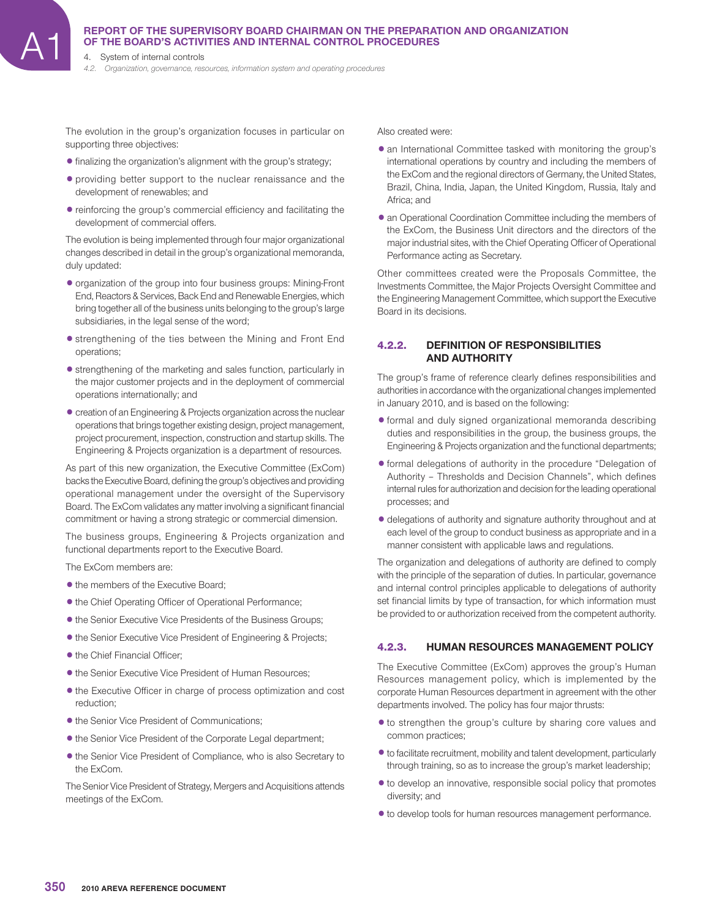4. System of internal controls

*4.2. Organization, governance, resources, information system and operating procedures*

The evolution in the group's organization focuses in particular on supporting three objectives:

- $\bullet$  finalizing the organization's alignment with the group's strategy;
- providing better support to the nuclear renaissance and the development of renewables; and
- $\bullet$  reinforcing the group's commercial efficiency and facilitating the development of commercial offers.

The evolution is being implemented through four major organizational changes described in detail in the group's organizational memoranda, duly updated:

- organization of the group into four business groups: Mining-Front End, Reactors & Services, Back End and Renewable Energies, which bring together all of the business units belonging to the group's large subsidiaries, in the legal sense of the word;
- **•** strengthening of the ties between the Mining and Front End operations;
- $\bullet$  strengthening of the marketing and sales function, particularly in the major customer projects and in the deployment of commercial operations internationally; and
- creation of an Engineering & Projects organization across the nuclear operations that brings together existing design, project management, project procurement, inspection, construction and startup skills. The Engineering & Projects organization is a department of resources.

As part of this new organization, the Executive Committee (ExCom) backs the Executive Board, defining the group's objectives and providing operational management under the oversight of the Supervisory Board. The ExCom validates any matter involving a significant financial commitment or having a strong strategic or commercial dimension.

The business groups, Engineering & Projects organization and functional departments report to the Executive Board.

The ExCom members are:

- the members of the Executive Board:
- $\bullet$  the Chief Operating Officer of Operational Performance;
- $\bullet$  the Senior Executive Vice Presidents of the Business Groups;
- $\bullet$  the Senior Executive Vice President of Engineering & Projects;
- the Chief Financial Officer:
- $\bullet$  the Senior Executive Vice President of Human Resources;
- $\bullet$  the Executive Officer in charge of process optimization and cost reduction;
- $\bullet$  the Senior Vice President of Communications;
- $\bullet$  the Senior Vice President of the Corporate Legal department;
- $\bullet$  the Senior Vice President of Compliance, who is also Secretary to the ExCom.

The Senior Vice President of Strategy, Mergers and Acquisitions attends meetings of the ExCom.

Also created were:

- an International Committee tasked with monitoring the group's international operations by country and including the members of the ExCom and the regional directors of Germany, the United States, Brazil, China, India, Japan, the United Kingdom, Russia, Italy and Africa; and
- an Operational Coordination Committee including the members of the ExCom, the Business Unit directors and the directors of the major industrial sites, with the Chief Operating Officer of Operational Performance acting as Secretary.

Other committees created were the Proposals Committee, the Investments Committee, the Major Projects Oversight Committee and the Engineering Management Committee, which support the Executive Board in its decisions.

# 4.2.2. **DEFINITION OF RESPONSIBILITIES AND AUTHORITY**

The group's frame of reference clearly defines responsibilities and authorities in accordance with the organizational changes implemented in January 2010, and is based on the following:

- $\bullet$  formal and duly signed organizational memoranda describing duties and responsibilities in the group, the business groups, the Engineering & Projects organization and the functional departments;
- $\bullet$  formal delegations of authority in the procedure "Delegation of Authority – Thresholds and Decision Channels", which defines internal rules for authorization and decision for the leading operational processes; and
- $\bullet$  delegations of authority and signature authority throughout and at each level of the group to conduct business as appropriate and in a manner consistent with applicable laws and regulations.

The organization and delegations of authority are defined to comply with the principle of the separation of duties. In particular, governance and internal control principles applicable to delegations of authority set financial limits by type of transaction, for which information must be provided to or authorization received from the competent authority.

# 4.2.3. **HUMAN RESOURCES MANAGEMENT POLICY**

The Executive Committee (ExCom) approves the group's Human Resources management policy, which is implemented by the corporate Human Resources department in agreement with the other departments involved. The policy has four major thrusts:

- $\bullet$  to strengthen the group's culture by sharing core values and common practices;
- $\bullet$  to facilitate recruitment, mobility and talent development, particularly through training, so as to increase the group's market leadership;
- $\bullet$  to develop an innovative, responsible social policy that promotes diversity; and
- $\bullet$  to develop tools for human resources management performance.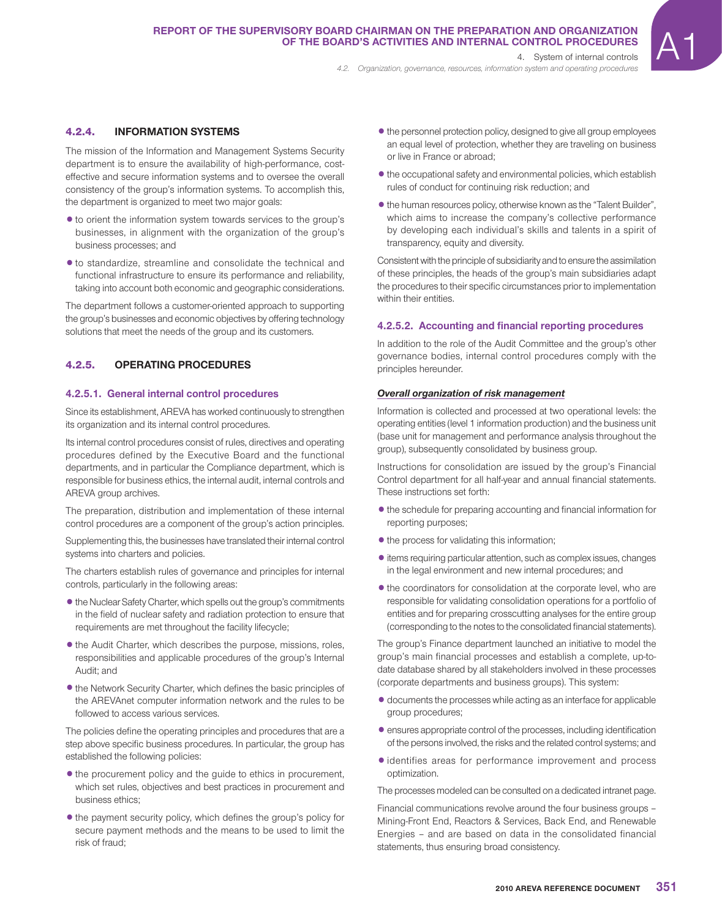4.2.4. **INFORMATION SYSTEMS**

The mission of the Information and Management Systems Security department is to ensure the availability of high-performance, costeffective and secure information systems and to oversee the overall consistency of the group's information systems. To accomplish this, the department is organized to meet two major goals:

- $\bullet$  to orient the information system towards services to the group's businesses, in alignment with the organization of the group's business processes; and
- $\bullet$  to standardize, streamline and consolidate the technical and functional infrastructure to ensure its performance and reliability, taking into account both economic and geographic considerations.

The department follows a customer-oriented approach to supporting the group's businesses and economic objectives by offering technology solutions that meet the needs of the group and its customers.

# 4.2.5. **OPERATING PROCEDURES**

#### **4.2.5.1. General internal control procedures**

Since its establishment, AREVA has worked continuously to strengthen its organization and its internal control procedures.

Its internal control procedures consist of rules, directives and operating procedures defined by the Executive Board and the functional departments, and in particular the Compliance department, which is responsible for business ethics, the internal audit, internal controls and AREVA group archives.

The preparation, distribution and implementation of these internal control procedures are a component of the group's action principles.

Supplementing this, the businesses have translated their internal control systems into charters and policies.

The charters establish rules of governance and principles for internal controls, particularly in the following areas:

- the Nuclear Safety Charter, which spells out the group's commitments in the field of nuclear safety and radiation protection to ensure that requirements are met throughout the facility lifecycle;
- $\bullet$  the Audit Charter, which describes the purpose, missions, roles, responsibilities and applicable procedures of the group's Internal Audit; and
- the Network Security Charter, which defines the basic principles of the AREVAnet computer information network and the rules to be followed to access various services.

The policies define the operating principles and procedures that are a step above specific business procedures. In particular, the group has established the following policies:

- the procurement policy and the quide to ethics in procurement, which set rules, objectives and best practices in procurement and business ethics;
- the payment security policy, which defines the group's policy for secure payment methods and the means to be used to limit the risk of fraud;

 $\bullet$  the personnel protection policy, designed to give all group employees an equal level of protection, whether they are traveling on business or live in France or abroad;

*4.2. Organization, governance, resources, information system and operating procedures*

- $\bullet$  the occupational safety and environmental policies, which establish rules of conduct for continuing risk reduction; and
- $\bullet$  the human resources policy, otherwise known as the "Talent Builder", which aims to increase the company's collective performance by developing each individual's skills and talents in a spirit of transparency, equity and diversity.

Consistent with the principle of subsidiarity and to ensure the assimilation of these principles, the heads of the group's main subsidiaries adapt the procedures to their specific circumstances prior to implementation within their entities.

#### **4.2.5.2. Accounting and financial reporting procedures**

In addition to the role of the Audit Committee and the group's other governance bodies, internal control procedures comply with the principles hereunder.

#### *Overall organization of risk management*

Information is collected and processed at two operational levels: the operating entities (level 1 information production) and the business unit (base unit for management and performance analysis throughout the group), subsequently consolidated by business group.

Instructions for consolidation are issued by the group's Financial Control department for all half-year and annual financial statements. These instructions set forth:

- $\bullet$  the schedule for preparing accounting and financial information for reporting purposes;
- $\bullet$  the process for validating this information;
- 1items requiring particular attention, such as complex issues, changes in the legal environment and new internal procedures; and
- $\bullet$  the coordinators for consolidation at the corporate level, who are responsible for validating consolidation operations for a portfolio of entities and for preparing crosscutting analyses for the entire group (corresponding to the notes to the consolidated financial statements).

The group's Finance department launched an initiative to model the group's main financial processes and establish a complete, up-todate database shared by all stakeholders involved in these processes (corporate departments and business groups). This system:

- documents the processes while acting as an interface for applicable group procedures;
- $\bullet$  ensures appropriate control of the processes, including identification of the persons involved, the risks and the related control systems; and
- $\bullet$  identifies areas for performance improvement and process optimization.

The processes modeled can be consulted on a dedicated intranet page.

Financial communications revolve around the four business groups – Mining-Front End, Reactors & Services, Back End, and Renewable Energies – and are based on data in the consolidated financial statements, thus ensuring broad consistency.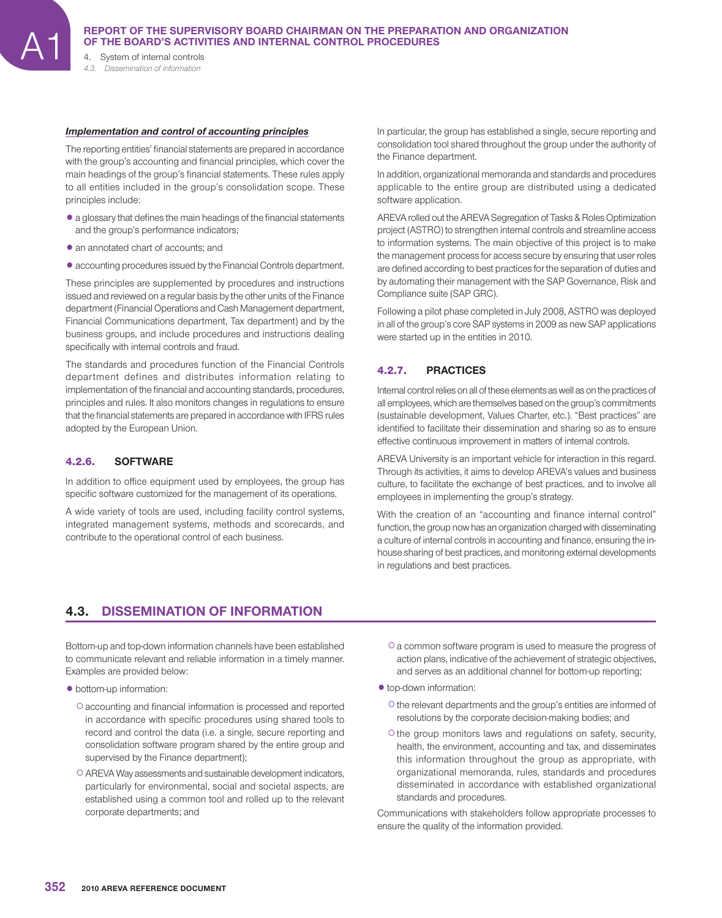*4.3. Dissemination of information*

#### *Implementation and control of accounting principles*

The reporting entities' financial statements are prepared in accordance with the group's accounting and financial principles, which cover the main headings of the group's financial statements. These rules apply to all entities included in the group's consolidation scope. These principles include:

- a glossary that defines the main headings of the financial statements and the group's performance indicators;
- an annotated chart of accounts; and
- 1accounting procedures issued by the Financial Controls department.

These principles are supplemented by procedures and instructions issued and reviewed on a regular basis by the other units of the Finance department (Financial Operations and Cash Management department, Financial Communications department, Tax department) and by the business groups, and include procedures and instructions dealing specifically with internal controls and fraud.

The standards and procedures function of the Financial Controls department defines and distributes information relating to implementation of the financial and accounting standards, procedures, principles and rules. It also monitors changes in regulations to ensure that the financial statements are prepared in accordance with IFRS rules adopted by the European Union.

#### 4.2.6. **SOFTWARE**

In addition to office equipment used by employees, the group has specific software customized for the management of its operations.

A wide variety of tools are used, including facility control systems, integrated management systems, methods and scorecards, and contribute to the operational control of each business.

In particular, the group has established a single, secure reporting and consolidation tool shared throughout the group under the authority of the Finance department.

In addition, organizational memoranda and standards and procedures applicable to the entire group are distributed using a dedicated software application.

AREVA rolled out the AREVA Segregation of Tasks & Roles Optimization project (ASTRO) to strengthen internal controls and streamline access to information systems. The main objective of this project is to make the management process for access secure by ensuring that user roles are defined according to best practices for the separation of duties and by automating their management with the SAP Governance, Risk and Compliance suite (SAP GRC).

Following a pilot phase completed in July 2008, ASTRO was deployed in all of the group's core SAP systems in 2009 as new SAP applications were started up in the entities in 2010.

# 4.2.7. **PRACTICES**

Internal control relies on all of these elements as well as on the practices of all employees, which are themselves based on the group's commitments (sustainable development, Values Charter, etc.). "Best practices" are identified to facilitate their dissemination and sharing so as to ensure effective continuous improvement in matters of internal controls.

AREVA University is an important vehicle for interaction in this regard. Through its activities, it aims to develop AREVA's values and business culture, to facilitate the exchange of best practices, and to involve all employees in implementing the group's strategy.

With the creation of an "accounting and finance internal control" function, the group now has an organization charged with disseminating a culture of internal controls in accounting and finance, ensuring the inhouse sharing of best practices, and monitoring external developments in regulations and best practices.

# **4.3. DISSEMINATION OF INFORMATION**

Bottom-up and top-down information channels have been established to communicate relevant and reliable information in a timely manner. Examples are provided below:

- $\bullet$  bottom-up information:
	- $\circ$  accounting and financial information is processed and reported in accordance with specific procedures using shared tools to record and control the data (i.e. a single, secure reporting and consolidation software program shared by the entire group and supervised by the Finance department);
	- CAREVA Way assessments and sustainable development indicators, particularly for environmental, social and societal aspects, are established using a common tool and rolled up to the relevant corporate departments; and
- Ca common software program is used to measure the progress of action plans, indicative of the achievement of strategic objectives, and serves as an additional channel for bottom-up reporting;
- $\bullet$  top-down information:
	- Cthe relevant departments and the group's entities are informed of resolutions by the corporate decision-making bodies; and
	- Cthe group monitors laws and regulations on safety, security, health, the environment, accounting and tax, and disseminates this information throughout the group as appropriate, with organizational memoranda, rules, standards and procedures disseminated in accordance with established organizational standards and procedures.

Communications with stakeholders follow appropriate processes to ensure the quality of the information provided.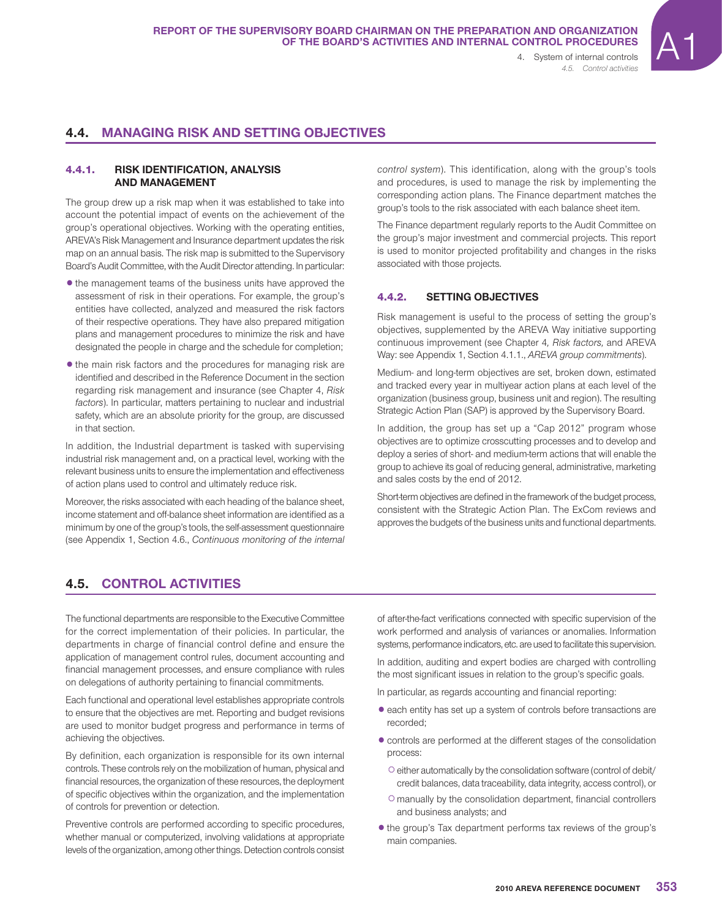# **4.4. MANAGING RISK AND SETTING OBJECTIVES**

# 4.4.1. **RISK IDENTIFICATION, ANALYSIS AND MANAGEMENT**

The group drew up a risk map when it was established to take into account the potential impact of events on the achievement of the group's operational objectives. Working with the operating entities, AREVA's Risk Management and Insurance department updates the risk map on an annual basis. The risk map is submitted to the Supervisory Board's Audit Committee, with the Audit Director attending. In particular:

- the management teams of the business units have approved the assessment of risk in their operations. For example, the group's entities have collected, analyzed and measured the risk factors of their respective operations. They have also prepared mitigation plans and management procedures to minimize the risk and have designated the people in charge and the schedule for completion;
- the main risk factors and the procedures for managing risk are identified and described in the Reference Document in the section regarding risk management and insurance (see Chapter 4, *Risk factors*). In particular, matters pertaining to nuclear and industrial safety, which are an absolute priority for the group, are discussed in that section.

In addition, the Industrial department is tasked with supervising industrial risk management and, on a practical level, working with the relevant business units to ensure the implementation and effectiveness of action plans used to control and ultimately reduce risk.

Moreover, the risks associated with each heading of the balance sheet, income statement and off-balance sheet information are identified as a minimum by one of the group's tools, the self-assessment questionnaire (see Appendix 1, Section 4.6., *Continuous monitoring of the internal* 

*control system*). This identification, along with the group's tools and procedures, is used to manage the risk by implementing the corresponding action plans. The Finance department matches the group's tools to the risk associated with each balance sheet item.

The Finance department regularly reports to the Audit Committee on the group's major investment and commercial projects. This report is used to monitor projected profitability and changes in the risks associated with those projects.

# 4.4.2. **SETTING OBJECTIVES**

Risk management is useful to the process of setting the group's objectives, supplemented by the AREVA Way initiative supporting continuous improvement (see Chapter 4*, Risk factors,* and AREVA Way: see Appendix 1, Section 4.1.1., *AREVA group commitments*).

Medium- and long-term objectives are set, broken down, estimated and tracked every year in multiyear action plans at each level of the organization (business group, business unit and region). The resulting Strategic Action Plan (SAP) is approved by the Supervisory Board.

In addition, the group has set up a "Cap 2012" program whose objectives are to optimize crosscutting processes and to develop and deploy a series of short- and medium-term actions that will enable the group to achieve its goal of reducing general, administrative, marketing and sales costs by the end of 2012.

Short-term objectives are defined in the framework of the budget process, consistent with the Strategic Action Plan. The ExCom reviews and approves the budgets of the business units and functional departments.

# **4.5. CONTROL ACTIVITIES**

The functional departments are responsible to the Executive Committee for the correct implementation of their policies. In particular, the departments in charge of financial control define and ensure the application of management control rules, document accounting and financial management processes, and ensure compliance with rules on delegations of authority pertaining to financial commitments.

Each functional and operational level establishes appropriate controls to ensure that the objectives are met. Reporting and budget revisions are used to monitor budget progress and performance in terms of achieving the objectives.

By definition, each organization is responsible for its own internal controls. These controls rely on the mobilization of human, physical and financial resources, the organization of these resources, the deployment of specific objectives within the organization, and the implementation of controls for prevention or detection.

Preventive controls are performed according to specific procedures, whether manual or computerized, involving validations at appropriate levels of the organization, among other things. Detection controls consist

of after-the-fact verifications connected with specific supervision of the work performed and analysis of variances or anomalies. Information systems, performance indicators, etc. are used to facilitate this supervision.

In addition, auditing and expert bodies are charged with controlling the most significant issues in relation to the group's specific goals.

In particular, as regards accounting and financial reporting:

- each entity has set up a system of controls before transactions are recorded;
- $\bullet$  controls are performed at the different stages of the consolidation process:
	- Ceither automatically by the consolidation software (control of debit/ credit balances, data traceability, data integrity, access control), or
	- $\circ$  manually by the consolidation department, financial controllers and business analysts; and
- $\bullet$  the group's Tax department performs tax reviews of the group's main companies.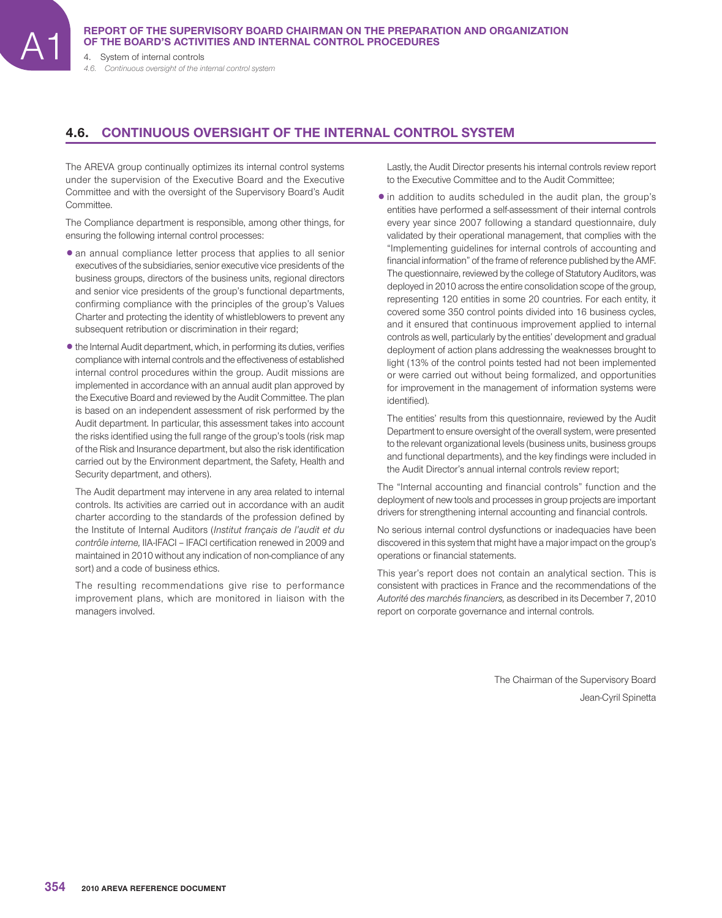4. System of internal controls

*4.6. Continuous oversight of the internal control system*

# **4.6. CONTINUOUS OVERSIGHT OF THE INTERNAL CONTROL SYSTEM**

The AREVA group continually optimizes its internal control systems under the supervision of the Executive Board and the Executive Committee and with the oversight of the Supervisory Board's Audit Committee.

The Compliance department is responsible, among other things, for ensuring the following internal control processes:

- an annual compliance letter process that applies to all senior executives of the subsidiaries, senior executive vice presidents of the business groups, directors of the business units, regional directors and senior vice presidents of the group's functional departments, confirming compliance with the principles of the group's Values Charter and protecting the identity of whistleblowers to prevent any subsequent retribution or discrimination in their regard;
- $\bullet$  the Internal Audit department, which, in performing its duties, verifies compliance with internal controls and the effectiveness of established internal control procedures within the group. Audit missions are implemented in accordance with an annual audit plan approved by the Executive Board and reviewed by the Audit Committee. The plan is based on an independent assessment of risk performed by the Audit department. In particular, this assessment takes into account the risks identified using the full range of the group's tools (risk map of the Risk and Insurance department, but also the risk identification carried out by the Environment department, the Safety, Health and Security department, and others).

The Audit department may intervene in any area related to internal controls. Its activities are carried out in accordance with an audit charter according to the standards of the profession defined by the Institute of Internal Auditors (*Institut français de l'audit et du contrôle interne,* IIA-IFACI – IFACI certifi cation renewed in 2009 and maintained in 2010 without any indication of non-compliance of any sort) and a code of business ethics.

The resulting recommendations give rise to performance improvement plans, which are monitored in liaison with the managers involved.

Lastly, the Audit Director presents his internal controls review report to the Executive Committee and to the Audit Committee;

• in addition to audits scheduled in the audit plan, the group's entities have performed a self-assessment of their internal controls every year since 2007 following a standard questionnaire, duly validated by their operational management, that complies with the "Implementing guidelines for internal controls of accounting and financial information" of the frame of reference published by the AMF. The questionnaire, reviewed by the college of Statutory Auditors, was deployed in 2010 across the entire consolidation scope of the group, representing 120 entities in some 20 countries. For each entity, it covered some 350 control points divided into 16 business cycles, and it ensured that continuous improvement applied to internal controls as well, particularly by the entities' development and gradual deployment of action plans addressing the weaknesses brought to light (13% of the control points tested had not been implemented or were carried out without being formalized, and opportunities for improvement in the management of information systems were identified).

The entities' results from this questionnaire, reviewed by the Audit Department to ensure oversight of the overall system, were presented to the relevant organizational levels (business units, business groups and functional departments), and the key findings were included in the Audit Director's annual internal controls review report;

The "Internal accounting and financial controls" function and the deployment of new tools and processes in group projects are important drivers for strengthening internal accounting and financial controls.

No serious internal control dysfunctions or inadequacies have been discovered in this system that might have a major impact on the group's operations or financial statements.

This year's report does not contain an analytical section. This is consistent with practices in France and the recommendations of the *Autorité des marchés financiers,* as described in its December 7, 2010 report on corporate governance and internal controls.

> The Chairman of the Supervisory Board Jean-Cyril Spinetta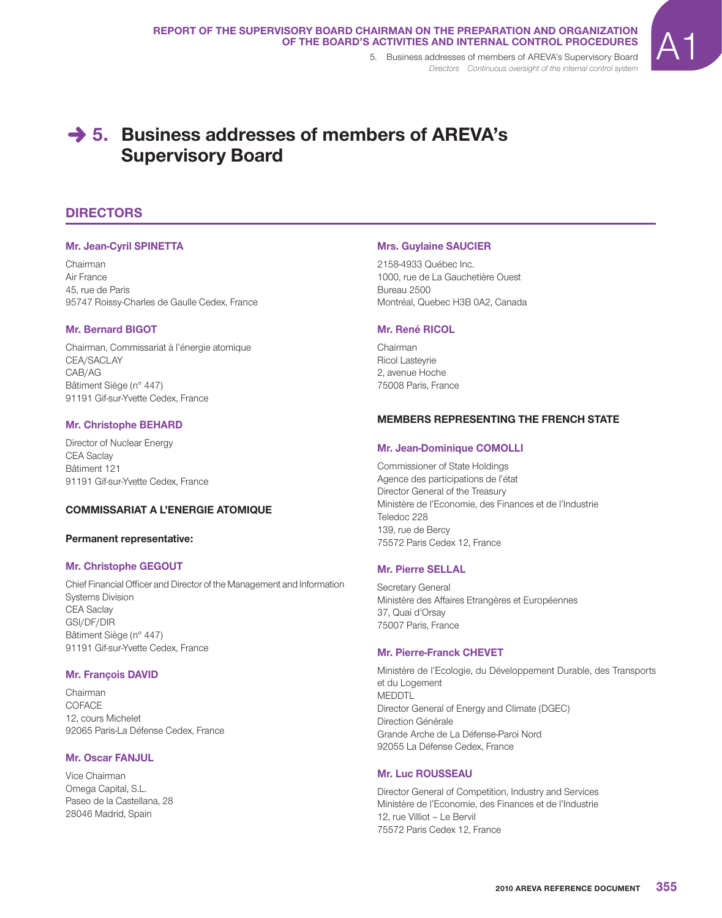*Directors Continuous oversight of the internal control system*



# **→ 5. Business addresses of members of AREVA's Supervisory Board**

# **DIRECTORS**

# **Mr. Jean-Cyril SPINETTA**

Chairman Air France 45, rue de Paris 95747 Roissy-Charles de Gaulle Cedex, France

## **Mr. Bernard BIGOT**

Chairman, Commissariat à l'énergie atomique CEA/SACLAY CAB/AG Bâtiment Siège (n° 447) 91191 Gif-sur-Yvette Cedex, France

## **Mr. Christophe BEHARD**

Director of Nuclear Energy CEA Saclay Bâtiment 121 91191 Gif-sur-Yvette Cedex, France

# **COMMISSARIAT A L'ENERGIE ATOMIQUE**

## **Permanent representative:**

## **Mr. Christophe GEGOUT**

Chief Financial Officer and Director of the Management and Information Systems Division CEA Saclay GSI/DF/DIR Bâtiment Siège (n° 447) 91191 Gif-sur-Yvette Cedex, France

## **Mr. François DAVID**

Chairman COFACE 12, cours Michelet 92065 Paris-La Défense Cedex, France

# **Mr. Oscar FANJUL**

Vice Chairman Omega Capital, S.L. Paseo de la Castellana, 28 28046 Madrid, Spain

## **Mrs. Guylaine SAUCIER**

2158-4933 Québec Inc. 1000, rue de La Gauchetière Ouest Bureau 2500 Montréal, Quebec H3B 0A2, Canada

## **Mr. René RICOL**

Chairman Ricol Lasteyrie 2, avenue Hoche 75008 Paris, France

## **MEMBERS REPRESENTING THE FRENCH STATE**

## **Mr. Jean-Dominique COMOLLI**

Commissioner of State Holdings Agence des participations de l'état Director General of the Treasury Ministère de l'Economie, des Finances et de l'Industrie Teledoc 228 139, rue de Bercy 75572 Paris Cedex 12, France

## **Mr. Pierre SELLAL**

Secretary General Ministère des Affaires Etrangères et Européennes 37, Quai d'Orsay 75007 Paris, France

## **Mr. Pierre-Franck CHEVET**

Ministère de l'Ecologie, du Développement Durable, des Transports et du Logement MEDDTL Director General of Energy and Climate (DGEC) Direction Générale Grande Arche de La Défense-Paroi Nord 92055 La Défense Cedex, France

## **Mr. Luc ROUSSEAU**

Director General of Competition, Industry and Services Ministère de l'Economie, des Finances et de l'Industrie 12, rue Villiot – Le Bervil 75572 Paris Cedex 12, France